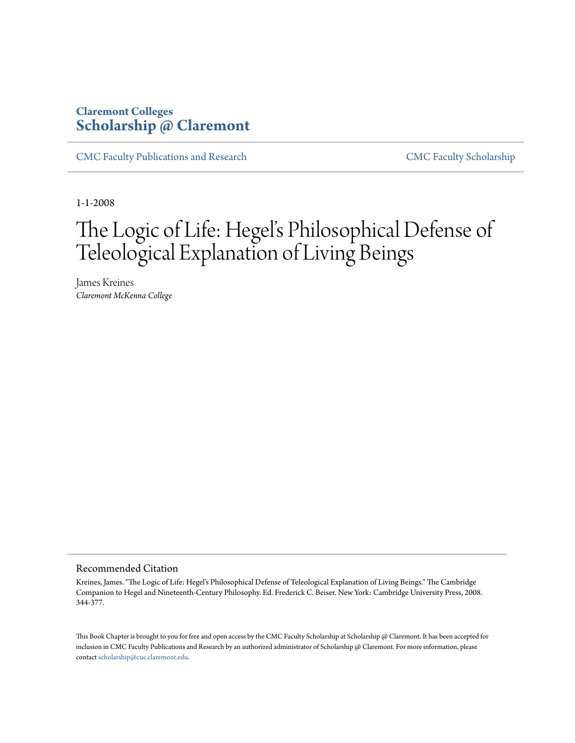# **Claremont Colleges [Scholarship @ Claremont](http://scholarship.claremont.edu)**

[CMC Faculty Publications and Research](http://scholarship.claremont.edu/cmc_fac_pub) [CMC Faculty Scholarship](http://scholarship.claremont.edu/cmc_faculty)

1-1-2008

# The Logic of Life: Hegel's Philosophical Defense of Teleological Explanation of Living Beings

James Kreines *Claremont McKenna College*

# Recommended Citation

Kreines, James. "The Logic of Life: Hegel's Philosophical Defense of Teleological Explanation of Living Beings." The Cambridge Companion to Hegel and Nineteenth-Century Philosophy. Ed. Frederick C. Beiser. New York: Cambridge University Press, 2008. 344-377.

This Book Chapter is brought to you for free and open access by the CMC Faculty Scholarship at Scholarship @ Claremont. It has been accepted for inclusion in CMC Faculty Publications and Research by an authorized administrator of Scholarship @ Claremont. For more information, please contact [scholarship@cuc.claremont.edu](mailto:scholarship@cuc.claremont.edu).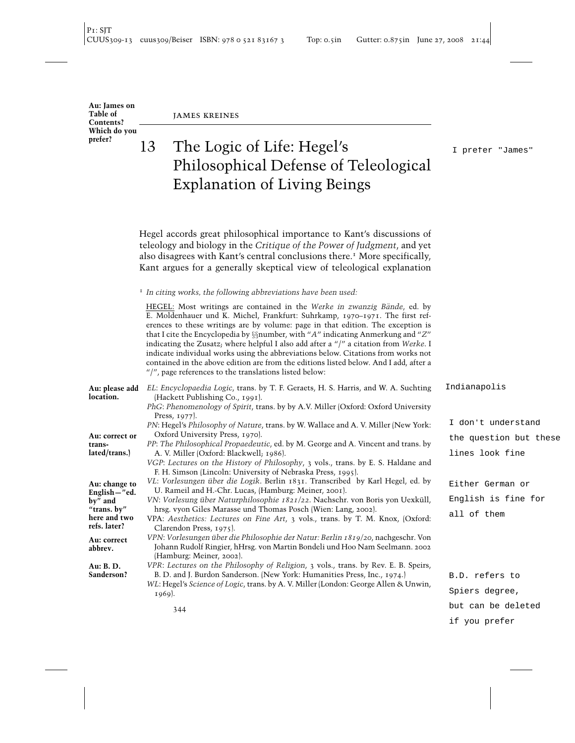**Au: James on Table of Contents? Which do you prefer?**

# 13 The Logic of Life: Hegel's Philosophical Defense of Teleological Explanation of Living Beings

I prefer "James"

Hegel accords great philosophical importance to Kant's discussions of teleology and biology in the *Critique of the Power of Judgment*, and yet also disagrees with Kant's central conclusions there.<sup>1</sup> More specifically, Kant argues for a generally skeptical view of teleological explanation

<sup>1</sup> *In citing works, the following abbreviations have been used:*

|                                             | HEGEL: Most writings are contained in the Werke in zwanzig Bände, ed. by<br>E. Moldenhauer und K. Michel, Frankfurt: Suhrkamp, 1970–1971. The first ref-<br>erences to these writings are by volume: page in that edition. The exception is<br>that I cite the Encyclopedia by §§number, with "A" indicating Anmerkung and "Z"<br>indicating the Zusatz; where helpful I also add after a "/" a citation from Werke. I<br>indicate individual works using the abbreviations below. Citations from works not<br>contained in the above edition are from the editions listed below. And I add, after a<br>$\frac{u}{v}$ , page references to the translations listed below: |                        |
|---------------------------------------------|---------------------------------------------------------------------------------------------------------------------------------------------------------------------------------------------------------------------------------------------------------------------------------------------------------------------------------------------------------------------------------------------------------------------------------------------------------------------------------------------------------------------------------------------------------------------------------------------------------------------------------------------------------------------------|------------------------|
| Au: please add<br>location.                 | EL: Encyclopaedia Logic, trans. by T. F. Geraets, H. S. Harris, and W. A. Suchting<br>(Hackett Publishing Co., 1991).<br>PhG: Phenomenology of Spirit, trans. by by A.V. Miller (Oxford: Oxford University                                                                                                                                                                                                                                                                                                                                                                                                                                                                | Indianapolis           |
|                                             | Press, 1977).<br>PN: Hegel's Philosophy of Nature, trans. by W. Wallace and A. V. Miller (New York:                                                                                                                                                                                                                                                                                                                                                                                                                                                                                                                                                                       | I don't understand     |
| Au: correct or                              | Oxford University Press, 1970).                                                                                                                                                                                                                                                                                                                                                                                                                                                                                                                                                                                                                                           | the question but these |
| trans-<br>lated/trans.)                     | PP: The Philosophical Propaedeutic, ed. by M. George and A. Vincent and trans. by<br>A. V. Miller (Oxford: Blackwell; 1986).                                                                                                                                                                                                                                                                                                                                                                                                                                                                                                                                              | lines look fine        |
|                                             | VGP: Lectures on the History of Philosophy, 3 vols., trans. by E. S. Haldane and                                                                                                                                                                                                                                                                                                                                                                                                                                                                                                                                                                                          |                        |
| Au: change to<br>English-"ed.               | F. H. Simson (Lincoln: University of Nebraska Press, 1995).<br>VL: Vorlesungen über die Logik. Berlin 1831. Transcribed by Karl Hegel, ed. by<br>U. Rameil and H.-Chr. Lucas, (Hamburg: Meiner, 2001).                                                                                                                                                                                                                                                                                                                                                                                                                                                                    | Either German or       |
| by" and                                     | VN: Vorlesung über Naturphilosophie 1821/22. Nachschr. von Boris yon Uexküll,                                                                                                                                                                                                                                                                                                                                                                                                                                                                                                                                                                                             | English is fine for    |
| "trans. by"<br>here and two<br>refs. later? | hrsg. vyon Giles Marasse und Thomas Posch (Wien: Lang, 2002).<br>VPA: Aesthetics: Lectures on Fine Art, 3 vols., trans. by T. M. Knox, (Oxford:<br>Clarendon Press, 1975).                                                                                                                                                                                                                                                                                                                                                                                                                                                                                                | all of them            |
| Au: correct<br>abbrev.                      | VPN: Vorlesungen über die Philosophie der Natur: Berlin 1819/20, nachgeschr. Von<br>Johann Rudolf Ringier, hHrsg. von Martin Bondeli und Hoo Nam Seelmann. 2002<br>(Hamburg: Meiner, 2002).                                                                                                                                                                                                                                                                                                                                                                                                                                                                               |                        |
| Au: B. D.                                   | VPR: Lectures on the Philosophy of Religion, 3 vols., trans. by Rev. E. B. Speirs,                                                                                                                                                                                                                                                                                                                                                                                                                                                                                                                                                                                        |                        |
| Sanderson?                                  | B. D. and J. Burdon Sanderson. (New York: Humanities Press, Inc., 1974.)<br>WL: Hegel's Science of Logic, trans. by A.V. Miller (London: George Allen & Unwin,                                                                                                                                                                                                                                                                                                                                                                                                                                                                                                            | B.D. refers to         |
|                                             | 1969).                                                                                                                                                                                                                                                                                                                                                                                                                                                                                                                                                                                                                                                                    | Spiers degree,         |
|                                             | 344                                                                                                                                                                                                                                                                                                                                                                                                                                                                                                                                                                                                                                                                       | but can be deleted     |
|                                             |                                                                                                                                                                                                                                                                                                                                                                                                                                                                                                                                                                                                                                                                           | if you prefer          |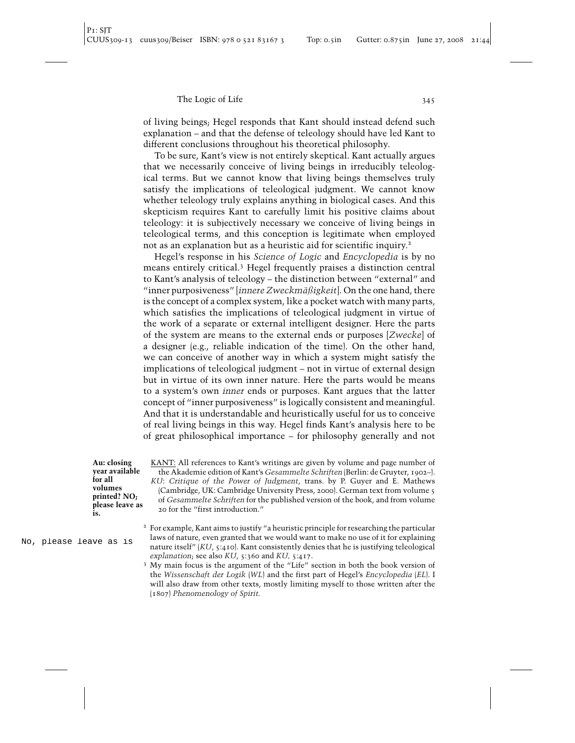of living beings; Hegel responds that Kant should instead defend such explanation – and that the defense of teleology should have led Kant to different conclusions throughout his theoretical philosophy.

To be sure, Kant's view is not entirely skeptical. Kant actually argues that we necessarily conceive of living beings in irreducibly teleological terms. But we cannot know that living beings themselves truly satisfy the implications of teleological judgment. We cannot know whether teleology truly explains anything in biological cases. And this skepticism requires Kant to carefully limit his positive claims about teleology: it is subjectively necessary we conceive of living beings in teleological terms, and this conception is legitimate when employed not as an explanation but as a heuristic aid for scientific inquiry.<sup>2</sup>

Hegel's response in his *Science of Logic* and *Encyclopedia* is by no means entirely critical.<sup>3</sup> Hegel frequently praises a distinction central to Kant's analysis of teleology – the distinction between "external" and "inner purposiveness" [*innere Zweckmaßigkeit ¨* ]. On the one hand, there is the concept of a complex system, like a pocket watch with many parts, which satisfies the implications of teleological judgment in virtue of the work of a separate or external intelligent designer. Here the parts of the system are means to the external ends or purposes [*Zwecke*] of a designer (e.g., reliable indication of the time). On the other hand, we can conceive of another way in which a system might satisfy the implications of teleological judgment – not in virtue of external design but in virtue of its own inner nature. Here the parts would be means to a system's own *inner* ends or purposes. Kant argues that the latter concept of "inner purposiveness" is logically consistent and meaningful. And that it is understandable and heuristically useful for us to conceive of real living beings in this way. Hegel finds Kant's analysis here to be of great philosophical importance – for philosophy generally and not

**Au: closing year available for all volumes printed? NO; please leave as is.**

No, please leave as is

KANT: All references to Kant's writings are given by volume and page number of the Akademie edition of Kant's *Gesammelte Schriften* (Berlin: de Gruyter, 1902–). *KU*: *Critique of the Power of Judgment*, trans. by P. Guyer and E. Mathews (Cambridge, UK: Cambridge University Press, 2000). German text from volume 5 of *Gesammelte Schriften* for the published version of the book, and from volume 20 for the "first introduction."

<sup>2</sup> For example, Kant aims to justify "a heuristic principle for researching the particular laws of nature, even granted that we would want to make no use of it for explaining nature itself" (*KU*, 5:410). Kant consistently denies that he is justifying teleological

*explanation*; see also *KU*, 5:360 and *KU*, 5:417.<br><sup>3</sup> My main focus is the argument of the "Life" section in both the book version of the *Wissenschaft der Logik* (*WL*) and the first part of Hegel's *Encyclopedia* (*EL*). I will also draw from other texts, mostly limiting myself to those written after the (1807) *Phenomenology of Spirit.*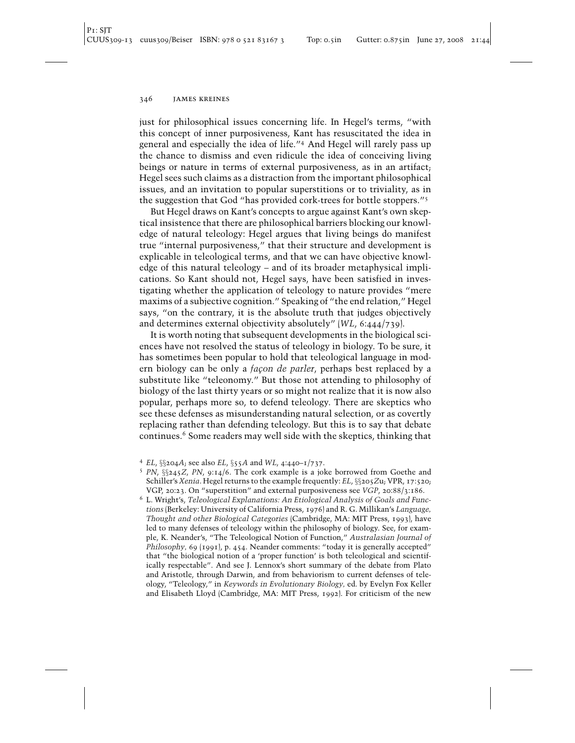just for philosophical issues concerning life. In Hegel's terms, "with this concept of inner purposiveness, Kant has resuscitated the idea in general and especially the idea of life."<sup>4</sup> And Hegel will rarely pass up the chance to dismiss and even ridicule the idea of conceiving living beings or nature in terms of external purposiveness, as in an artifact; Hegel sees such claims as a distraction from the important philosophical issues, and an invitation to popular superstitions or to triviality, as in the suggestion that God "has provided cork-trees for bottle stoppers."<sup>5</sup>

But Hegel draws on Kant's concepts to argue against Kant's own skeptical insistence that there are philosophical barriers blocking our knowledge of natural teleology: Hegel argues that living beings do manifest true "internal purposiveness," that their structure and development is explicable in teleological terms, and that we can have objective knowledge of this natural teleology – and of its broader metaphysical implications. So Kant should not, Hegel says, have been satisfied in investigating whether the application of teleology to nature provides "mere maxims of a subjective cognition." Speaking of "the end relation," Hegel says, "on the contrary, it is the absolute truth that judges objectively and determines external objectivity absolutely" (*WL*, 6:444/739).

It is worth noting that subsequent developments in the biological sciences have not resolved the status of teleology in biology. To be sure, it has sometimes been popular to hold that teleological language in modern biology can be only a *facon de parler*, perhaps best replaced by a substitute like "teleonomy." But those not attending to philosophy of biology of the last thirty years or so might not realize that it is now also popular, perhaps more so, to defend teleology. There are skeptics who see these defenses as misunderstanding natural selection, or as covertly replacing rather than defending teleology. But this is to say that debate continues.<sup>6</sup> Some readers may well side with the skeptics, thinking that

- <sup>4</sup> *EL*, §§204*A*; see also *EL*, §55*<sup>A</sup>* and *WL*, <sup>4</sup>:440–1/737. <sup>5</sup> *PN*, §§245*Z*, *PN*, <sup>9</sup>:14/6. The cork example is a joke borrowed from Goethe and Schiller's *Xenia*. Hegel returns to the example frequently: *EL*, §§205*Z*u; VPR, <sup>17</sup>:520;
- <sup>6</sup> L. Wright's, Teleological Explanations: An Etiological Analysis of Goals and Func*tions* (Berkeley: University of California Press, 1976) and R. G. Millikan's *Language, Thought and other Biological Categories* (Cambridge, MA: MIT Press, 1993), have led to many defenses of teleology within the philosophy of biology. See, for example, K. Neander's, "The Teleological Notion of Function," *Australasian Journal of Philosophy,* 69 (1991), p. 454. Neander comments: "today it is generally accepted" that "the biological notion of a 'proper function' is both teleological and scientifically respectable". And see J. Lennox's short summary of the debate from Plato and Aristotle, through Darwin, and from behaviorism to current defenses of teleology, "Teleology," in *Keywords in Evolutionary Biology,* ed. by Evelyn Fox Keller and Elisabeth Lloyd (Cambridge, MA: MIT Press, 1992). For criticism of the new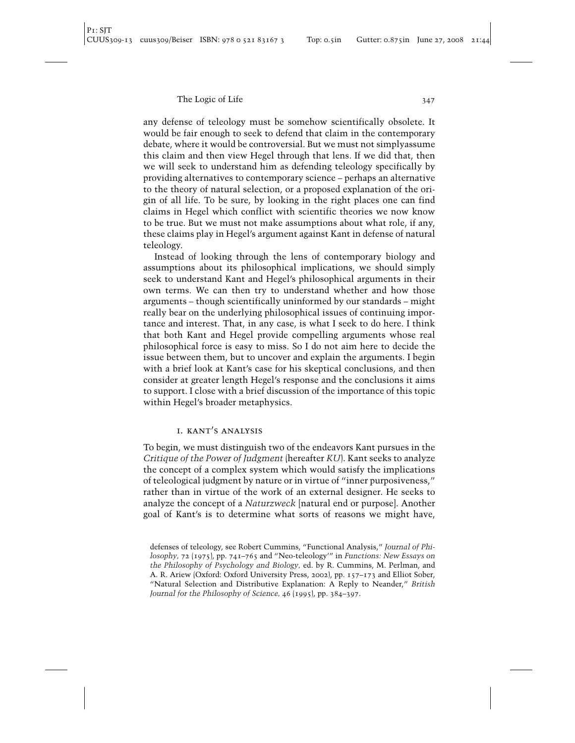any defense of teleology must be somehow scientifically obsolete. It would be fair enough to seek to defend that claim in the contemporary debate, where it would be controversial. But we must not simplyassume this claim and then view Hegel through that lens. If we did that, then we will seek to understand him as defending teleology specifically by providing alternatives to contemporary science – perhaps an alternative to the theory of natural selection, or a proposed explanation of the origin of all life. To be sure, by looking in the right places one can find claims in Hegel which conflict with scientific theories we now know to be true. But we must not make assumptions about what role, if any, these claims play in Hegel's argument against Kant in defense of natural teleology.

Instead of looking through the lens of contemporary biology and assumptions about its philosophical implications, we should simply seek to understand Kant and Hegel's philosophical arguments in their own terms. We can then try to understand whether and how those arguments – though scientifically uninformed by our standards – might really bear on the underlying philosophical issues of continuing importance and interest. That, in any case, is what I seek to do here. I think that both Kant and Hegel provide compelling arguments whose real philosophical force is easy to miss. So I do not aim here to decide the issue between them, but to uncover and explain the arguments. I begin with a brief look at Kant's case for his skeptical conclusions, and then consider at greater length Hegel's response and the conclusions it aims to support. I close with a brief discussion of the importance of this topic within Hegel's broader metaphysics.

# i. kant's analysis

To begin, we must distinguish two of the endeavors Kant pursues in the *Critique of the Power of Judgment* (hereafter *KU*). Kant seeks to analyze the concept of a complex system which would satisfy the implications of teleological judgment by nature or in virtue of "inner purposiveness," rather than in virtue of the work of an external designer. He seeks to analyze the concept of a *Naturzweck* [natural end or purpose]. Another goal of Kant's is to determine what sorts of reasons we might have,

defenses of teleology, see Robert Cummins, "Functional Analysis," *Journal of Philosophy,* 72 (1975), pp. 741–765 and "Neo-teleology'" in *Functions: New Essays on the Philosophy of Psychology and Biology,* ed. by R. Cummins, M. Perlman, and A. R. Ariew (Oxford: Oxford University Press, 2002), pp. 157–173 and Elliot Sober, "Natural Selection and Distributive Explanation: A Reply to Neander," *British Journal for the Philosophy of Science,* 46 (1995), pp. 384–397.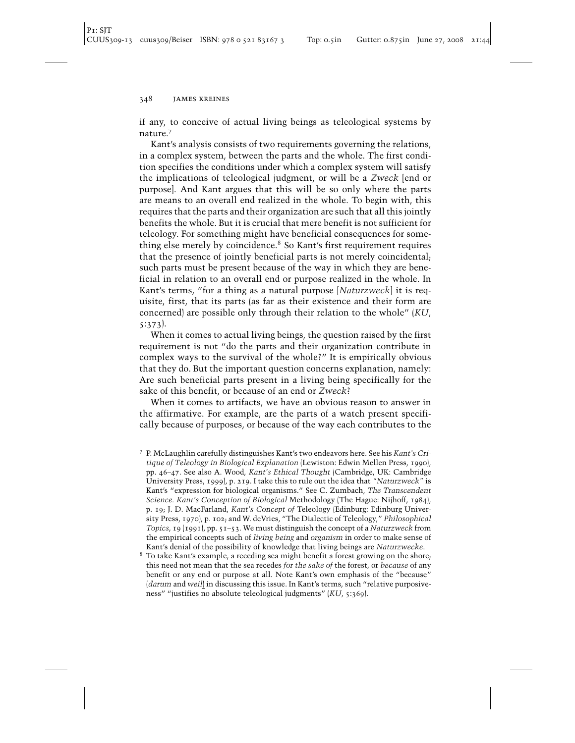if any, to conceive of actual living beings as teleological systems by nature.<sup>7</sup>

Kant's analysis consists of two requirements governing the relations, in a complex system, between the parts and the whole. The first condition specifies the conditions under which a complex system will satisfy the implications of teleological judgment, or will be a *Zweck* [end or purpose]. And Kant argues that this will be so only where the parts are means to an overall end realized in the whole. To begin with, this requires that the parts and their organization are such that all this jointly benefits the whole. But it is crucial that mere benefit is not sufficient for teleology. For something might have beneficial consequences for something else merely by coincidence.<sup>8</sup> So Kant's first requirement requires that the presence of jointly beneficial parts is not merely coincidental; such parts must be present because of the way in which they are beneficial in relation to an overall end or purpose realized in the whole. In Kant's terms, "for a thing as a natural purpose [*Naturzweck*] it is requisite, first, that its parts (as far as their existence and their form are concerned) are possible only through their relation to the whole" (*KU*, 5:373).

When it comes to actual living beings, the question raised by the first requirement is not "do the parts and their organization contribute in complex ways to the survival of the whole?" It is empirically obvious that they do. But the important question concerns explanation, namely: Are such beneficial parts present in a living being specifically for the sake of this benefit, or because of an end or *Zweck*?

When it comes to artifacts, we have an obvious reason to answer in the affirmative. For example, are the parts of a watch present specifically because of purposes, or because of the way each contributes to the

<sup>7</sup> P. McLaughlin carefully distinguishes Kant's two endeavors here. See his *Kant's Critique of Teleology in Biological Explanation* (Lewiston: Edwin Mellen Press, 1990), pp. 46–47. See also A. Wood, *Kant's Ethical Thought* (Cambridge, UK: Cambridge University Press, 1999), p. 219. I take this to rule out the idea that *"Naturzweck"* is Kant's "expression for biological organisms." See C. Zumbach, *The Transcendent Science. Kant's Conception of Biological* Methodology (The Hague: Nijhoff, 1984), p. 19; J. D. MacFarland, *Kant's Concept of* Teleology (Edinburg: Edinburg University Press, 1970), p. 102; and W. deVries, "The Dialectic of Teleology," *Philosophical Topics*, 19 (1991), pp. 51–53. We must distinguish the concept of a *Naturzweck* from the empirical concepts such of *living being* and *organism* in order to make sense of

Kant's denial of the possibility of knowledge that living beings are *Naturzwecke*. To take Kant's example, a receding sea might benefit a forest growing on the shore; this need not mean that the sea recedes *for the sake of* the forest, or *because* of any benefit or any end or purpose at all. Note Kant's own emphasis of the "because" (*darum* and *weil*) in discussing this issue. In Kant's terms, such "relative purposiveness" "justifies no absolute teleological judgments" (*KU*, 5:369).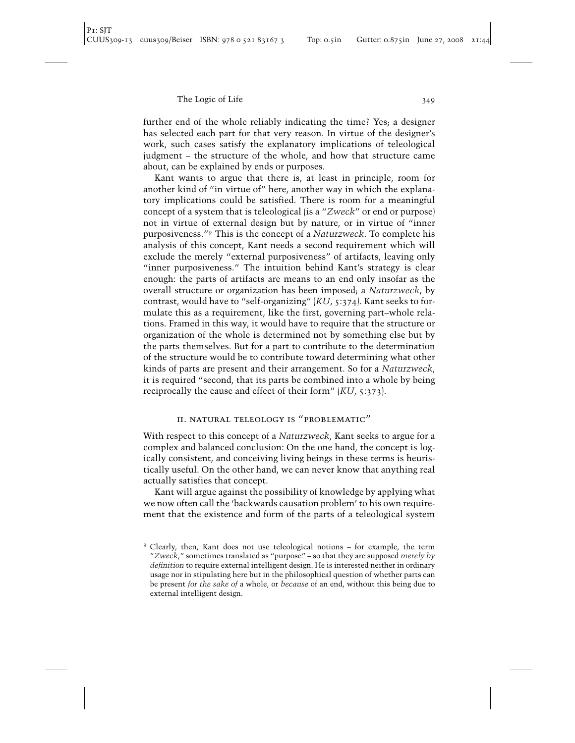further end of the whole reliably indicating the time? Yes; a designer has selected each part for that very reason. In virtue of the designer's work, such cases satisfy the explanatory implications of teleological judgment – the structure of the whole, and how that structure came about, can be explained by ends or purposes.

Kant wants to argue that there is, at least in principle, room for another kind of "in virtue of" here, another way in which the explanatory implications could be satisfied. There is room for a meaningful concept of a system that is teleological (is a "*Zweck*" or end or purpose) not in virtue of external design but by nature, or in virtue of "inner purposiveness."<sup>9</sup> This is the concept of a *Naturzweck*. To complete his analysis of this concept, Kant needs a second requirement which will exclude the merely "external purposiveness" of artifacts, leaving only "inner purposiveness." The intuition behind Kant's strategy is clear enough: the parts of artifacts are means to an end only insofar as the overall structure or organization has been imposed; a *Naturzweck*, by contrast, would have to "self-organizing" (*KU*, 5:374). Kant seeks to formulate this as a requirement, like the first, governing part–whole relations. Framed in this way, it would have to require that the structure or organization of the whole is determined not by something else but by the parts themselves. But for a part to contribute to the determination of the structure would be to contribute toward determining what other kinds of parts are present and their arrangement. So for a *Naturzweck*, it is required "second, that its parts be combined into a whole by being reciprocally the cause and effect of their form" (*KU*, 5:373).

# ii. natural teleology is "problematic"

With respect to this concept of a *Naturzweck*, Kant seeks to argue for a complex and balanced conclusion: On the one hand, the concept is logically consistent, and conceiving living beings in these terms is heuristically useful. On the other hand, we can never know that anything real actually satisfies that concept.

Kant will argue against the possibility of knowledge by applying what we now often call the 'backwards causation problem' to his own requirement that the existence and form of the parts of a teleological system

<sup>9</sup> Clearly, then, Kant does not use teleological notions – for example, the term "*Zweck*," sometimes translated as "purpose" – so that they are supposed *merely by definition* to require external intelligent design. He is interested neither in ordinary usage nor in stipulating here but in the philosophical question of whether parts can be present *for the sake of* a whole, or *because* of an end, without this being due to external intelligent design.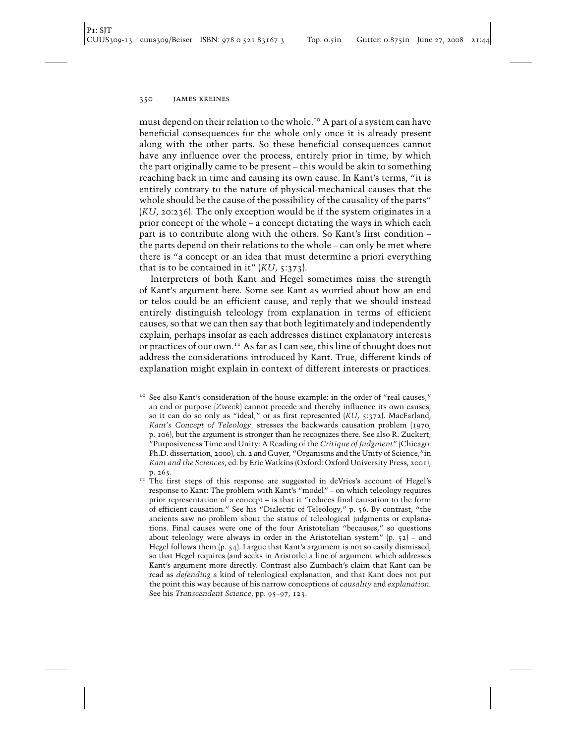must depend on their relation to the whole.<sup>10</sup> A part of a system can have beneficial consequences for the whole only once it is already present along with the other parts. So these beneficial consequences cannot have any influence over the process, entirely prior in time, by which the part originally came to be present – this would be akin to something reaching back in time and causing its own cause. In Kant's terms, "it is entirely contrary to the nature of physical-mechanical causes that the whole should be the cause of the possibility of the causality of the parts" (*KU*, 20:236). The only exception would be if the system originates in a prior concept of the whole – a concept dictating the ways in which each part is to contribute along with the others. So Kant's first condition – the parts depend on their relations to the whole – can only be met where there is "a concept or an idea that must determine a priori everything that is to be contained in it" (*KU*, 5:373).

Interpreters of both Kant and Hegel sometimes miss the strength of Kant's argument here. Some see Kant as worried about how an end or telos could be an efficient cause, and reply that we should instead entirely distinguish teleology from explanation in terms of efficient causes, so that we can then say that both legitimately and independently explain, perhaps insofar as each addresses distinct explanatory interests or practices of our own.<sup>11</sup> As far as I can see, this line of thought does not address the considerations introduced by Kant. True, different kinds of explanation might explain in context of different interests or practices.

<sup>10</sup> See also Kant's consideration of the house example: in the order of "real causes," an end or purpose (*Zweck*) cannot precede and thereby influence its own causes, so it can do so only as "ideal," or as first represented (*KU*, 5:372). MacFarland, *Kant's Concept of Teleology,* stresses the backwards causation problem (1970, p. 106), but the argument is stronger than he recognizes there. See also R. Zuckert, "Purposiveness Time and Unity: A Reading of the *Critique of Judgment*" (Chicago: Ph.D. dissertation, 2000), ch. 2 and Guyer, "Organisms and the Unity of Science,"in *Kant and the Sciences*, ed. by Eric Watkins (Oxford: Oxford University Press, 2001),

p. <sup>265</sup>. <sup>11</sup> The first steps of this response are suggested in deVries's account of Hegel's response to Kant: The problem with Kant's "model" – on which teleology requires prior representation of a concept – is that it "reduces final causation to the form of efficient causation." See his "Dialectic of Teleology," p. 56. By contrast, "the ancients saw no problem about the status of teleological judgments or explanations. Final causes were one of the four Aristotelian "becauses," so questions about teleology were always in order in the Aristotelian system"  $(p. 52)$  – and Hegel follows them (p. 54). I argue that Kant's argument is not so easily dismissed, so that Hegel requires (and seeks in Aristotle) a line of argument which addresses Kant's argument more directly. Contrast also Zumbach's claim that Kant can be read as *defending* a kind of teleological explanation, and that Kant does not put the point this way because of his narrow conceptions of *causality* and *explanation.* See his *Transcendent Science*, pp. 95–97, 123.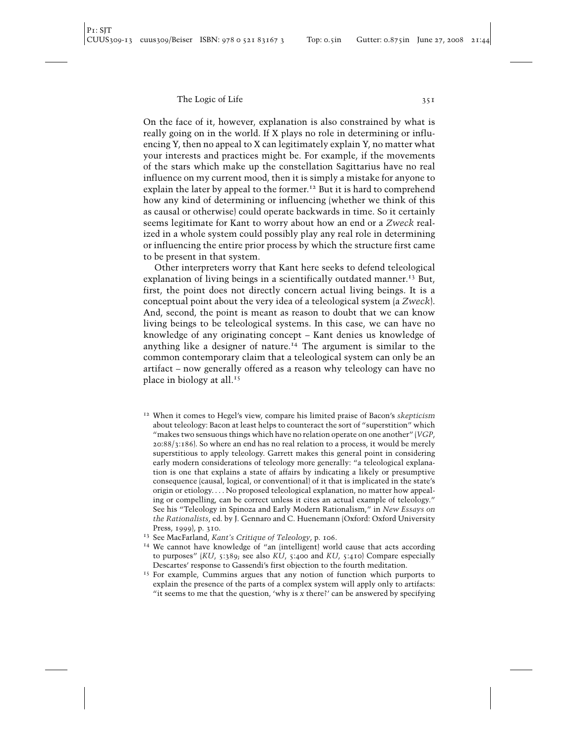On the face of it, however, explanation is also constrained by what is really going on in the world. If X plays no role in determining or influencing Y, then no appeal to X can legitimately explain Y, no matter what your interests and practices might be. For example, if the movements of the stars which make up the constellation Sagittarius have no real influence on my current mood, then it is simply a mistake for anyone to explain the later by appeal to the former.<sup>12</sup> But it is hard to comprehend how any kind of determining or influencing (whether we think of this as causal or otherwise) could operate backwards in time. So it certainly seems legitimate for Kant to worry about how an end or a *Zweck* realized in a whole system could possibly play any real role in determining or influencing the entire prior process by which the structure first came to be present in that system.

Other interpreters worry that Kant here seeks to defend teleological explanation of living beings in a scientifically outdated manner.<sup>13</sup> But, first, the point does not directly concern actual living beings. It is a conceptual point about the very idea of a teleological system (a *Zweck*). And, second, the point is meant as reason to doubt that we can know living beings to be teleological systems. In this case, we can have no knowledge of any originating concept – Kant denies us knowledge of anything like a designer of nature.<sup>14</sup> The argument is similar to the common contemporary claim that a teleological system can only be an artifact – now generally offered as a reason why teleology can have no place in biology at all.<sup>15</sup>

- <sup>12</sup> When it comes to Hegel's view, compare his limited praise of Bacon's *skepticism* about teleology: Bacon at least helps to counteract the sort of "superstition" which "makes two sensuous things which have no relation operate on one another" (*VGP*, 20:88/3:186). So where an end has no real relation to a process, it would be merely superstitious to apply teleology. Garrett makes this general point in considering early modern considerations of teleology more generally: "a teleological explanation is one that explains a state of affairs by indicating a likely or presumptive consequence (causal, logical, or conventional) of it that is implicated in the state's origin or etiology. . . . No proposed teleological explanation, no matter how appealing or compelling, can be correct unless it cites an actual example of teleology." See his "Teleology in Spinoza and Early Modern Rationalism," in *New Essays on the Rationalists*, ed. by J. Gennaro and C. Huenemann (Oxford: Oxford University Press, 1999), p. 310.<br><sup>13</sup> See MacFarland, *Kant's Critique of Teleology*, p. 106.<br><sup>14</sup> We cannot have knowledge of "an (intelligent) world cause that acts according
- 
- to purposes" (*KU*, 5:389; see also *KU*, 5:400 and *KU*, 5:410) Compare especially Descartes' response to Gassendi's first objection to the fourth meditation. <sup>15</sup> For example, Cummins argues that any notion of function which purports to
- explain the presence of the parts of a complex system will apply only to artifacts: "it seems to me that the question, 'why is *x* there?' can be answered by specifying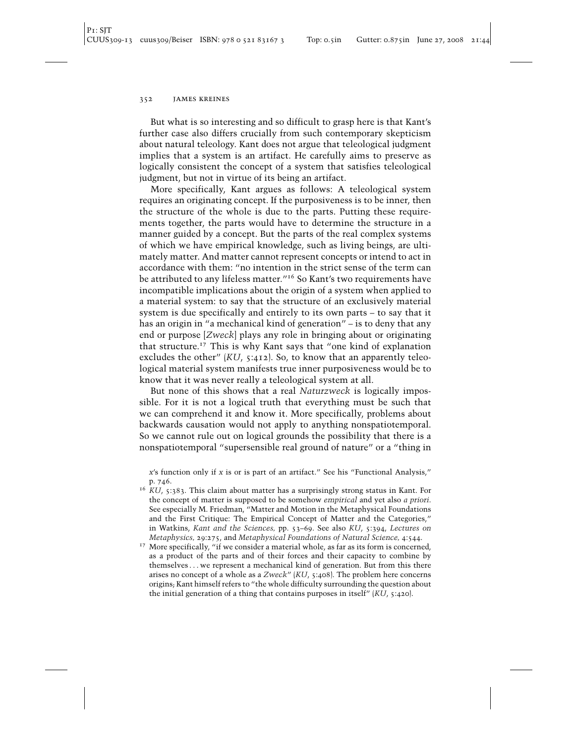But what is so interesting and so difficult to grasp here is that Kant's further case also differs crucially from such contemporary skepticism about natural teleology. Kant does not argue that teleological judgment implies that a system is an artifact. He carefully aims to preserve as logically consistent the concept of a system that satisfies teleological judgment, but not in virtue of its being an artifact.

More specifically, Kant argues as follows: A teleological system requires an originating concept. If the purposiveness is to be inner, then the structure of the whole is due to the parts. Putting these requirements together, the parts would have to determine the structure in a manner guided by a concept. But the parts of the real complex systems of which we have empirical knowledge, such as living beings, are ultimately matter. And matter cannot represent concepts or intend to act in accordance with them: "no intention in the strict sense of the term can be attributed to any lifeless matter."<sup>16</sup> So Kant's two requirements have incompatible implications about the origin of a system when applied to a material system: to say that the structure of an exclusively material system is due specifically and entirely to its own parts – to say that it has an origin in "a mechanical kind of generation" – is to deny that any end or purpose [*Zweck*] plays any role in bringing about or originating that structure.<sup>17</sup> This is why Kant says that "one kind of explanation excludes the other" (*KU*, 5:412). So, to know that an apparently teleological material system manifests true inner purposiveness would be to know that it was never really a teleological system at all.

But none of this shows that a real *Naturzweck* is logically impossible. For it is not a logical truth that everything must be such that we can comprehend it and know it. More specifically, problems about backwards causation would not apply to anything nonspatiotemporal. So we cannot rule out on logical grounds the possibility that there is a nonspatiotemporal "supersensible real ground of nature" or a "thing in

*x*'s function only if *x* is or is part of an artifact." See his "Functional Analysis,"

- p. <sup>746</sup>. <sup>16</sup> *KU*, <sup>5</sup>:383. This claim about matter has a surprisingly strong status in Kant. For the concept of matter is supposed to be somehow *empirical* and yet also *a priori*. See especially M. Friedman, "Matter and Motion in the Metaphysical Foundations and the First Critique: The Empirical Concept of Matter and the Categories," in Watkins, *Kant and the Sciences,* pp. 53–69. See also *KU*, 5:394, *Lectures on*
- *Metaphysics,* <sup>29</sup>:275, and *Metaphysical Foundations of Natural Science,* <sup>4</sup>:544. <sup>17</sup> More specifically, "if we consider a material whole, as far as its form is concerned, as a product of the parts and of their forces and their capacity to combine by themselves . . . we represent a mechanical kind of generation. But from this there arises no concept of a whole as a *Zweck*" (*KU*, 5:408). The problem here concerns origins; Kant himself refers to "the whole difficulty surrounding the question about the initial generation of a thing that contains purposes in itself" (*KU*, 5:420).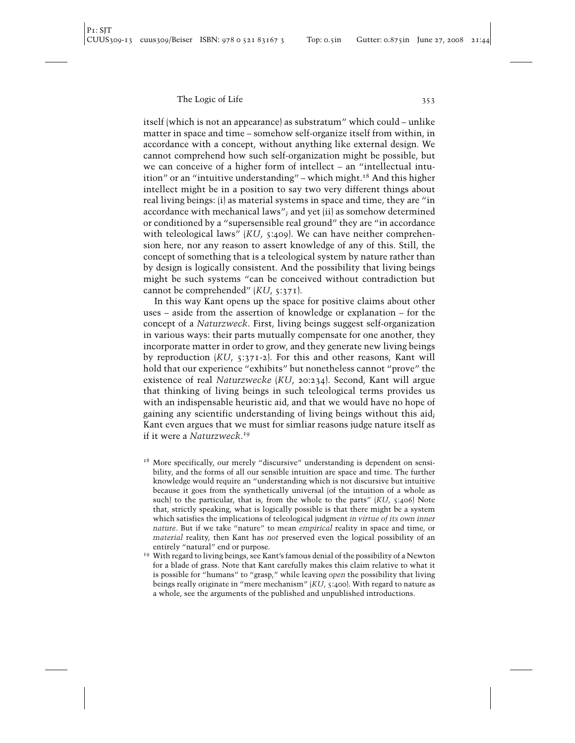itself (which is not an appearance) as substratum" which could – unlike matter in space and time – somehow self-organize itself from within, in accordance with a concept, without anything like external design. We cannot comprehend how such self-organization might be possible, but we can conceive of a higher form of intellect – an "intellectual intuition" or an "intuitive understanding" – which might. $^{18}$  And this higher intellect might be in a position to say two very different things about real living beings: (i) as material systems in space and time, they are "in accordance with mechanical laws"; and yet (ii) as somehow determined or conditioned by a "supersensible real ground" they are "in accordance with teleological laws" (*KU*, 5:409). We can have neither comprehension here, nor any reason to assert knowledge of any of this. Still, the concept of something that is a teleological system by nature rather than by design is logically consistent. And the possibility that living beings might be such systems "can be conceived without contradiction but cannot be comprehended" (*KU*, 5:371).

In this way Kant opens up the space for positive claims about other uses – aside from the assertion of knowledge or explanation – for the concept of a *Naturzweck*. First, living beings suggest self-organization in various ways: their parts mutually compensate for one another, they incorporate matter in order to grow, and they generate new living beings by reproduction (*KU*, 5:371-2). For this and other reasons, Kant will hold that our experience "exhibits" but nonetheless cannot "prove" the existence of real *Naturzwecke* (*KU*, 20:234). Second, Kant will argue that thinking of living beings in such teleological terms provides us with an indispensable heuristic aid, and that we would have no hope of gaining any scientific understanding of living beings without this aid; Kant even argues that we must for simliar reasons judge nature itself as if it were a *Naturzweck*. 19

- <sup>18</sup> More specifically, our merely "discursive" understanding is dependent on sensibility, and the forms of all our sensible intuition are space and time. The further knowledge would require an "understanding which is not discursive but intuitive because it goes from the synthetically universal (of the intuition of a whole as such) to the particular, that is, from the whole to the parts" (*KU*, 5:406) Note that, strictly speaking, what is logically possible is that there might be a system which satisfies the implications of teleological judgment *in virtue of its own inner nature*. But if we take "nature" to mean *empirical* reality in space and time, or *material* reality, then Kant has *not* preserved even the logical possibility of an
- entirely "natural" end or purpose.  $19$  With regard to living beings, see Kant's famous denial of the possibility of a Newton for a blade of grass. Note that Kant carefully makes this claim relative to what it is possible for "humans" to "grasp," while leaving *open* the possibility that living beings really originate in "mere mechanism" (*KU*, 5:400). With regard to nature as a whole, see the arguments of the published and unpublished introductions.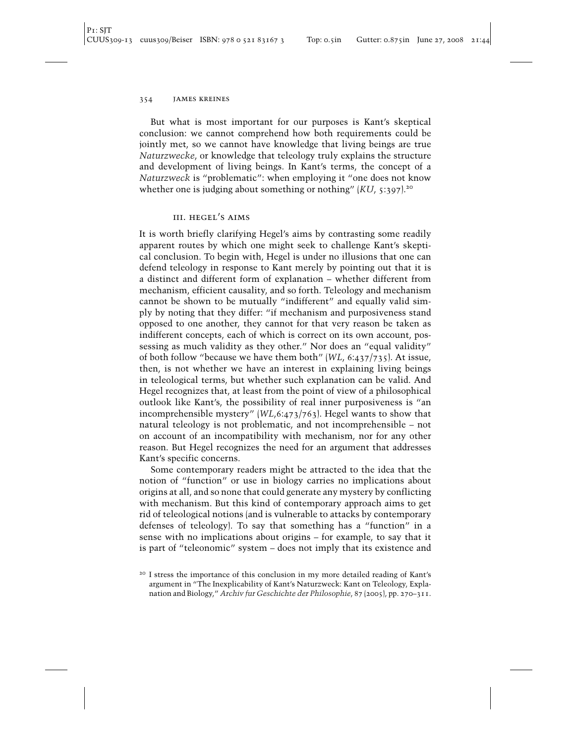But what is most important for our purposes is Kant's skeptical conclusion: we cannot comprehend how both requirements could be jointly met, so we cannot have knowledge that living beings are true *Naturzwecke*, or knowledge that teleology truly explains the structure and development of living beings. In Kant's terms, the concept of a *Naturzweck* is "problematic": when employing it "one does not know whether one is judging about something or nothing" (*KU*, 5:397).<sup>20</sup>

### iii. hegel's aims

It is worth briefly clarifying Hegel's aims by contrasting some readily apparent routes by which one might seek to challenge Kant's skeptical conclusion. To begin with, Hegel is under no illusions that one can defend teleology in response to Kant merely by pointing out that it is a distinct and different form of explanation – whether different from mechanism, efficient causality, and so forth. Teleology and mechanism cannot be shown to be mutually "indifferent" and equally valid simply by noting that they differ: "if mechanism and purposiveness stand opposed to one another, they cannot for that very reason be taken as indifferent concepts, each of which is correct on its own account, possessing as much validity as they other." Nor does an "equal validity" of both follow "because we have them both" (*WL*, 6:437/735). At issue, then, is not whether we have an interest in explaining living beings in teleological terms, but whether such explanation can be valid. And Hegel recognizes that, at least from the point of view of a philosophical outlook like Kant's, the possibility of real inner purposiveness is "an incomprehensible mystery" (*WL*,6:473/763). Hegel wants to show that natural teleology is not problematic, and not incomprehensible – not on account of an incompatibility with mechanism, nor for any other reason. But Hegel recognizes the need for an argument that addresses Kant's specific concerns.

Some contemporary readers might be attracted to the idea that the notion of "function" or use in biology carries no implications about origins at all, and so none that could generate any mystery by conflicting with mechanism. But this kind of contemporary approach aims to get rid of teleological notions (and is vulnerable to attacks by contemporary defenses of teleology). To say that something has a "function" in a sense with no implications about origins – for example, to say that it is part of "teleonomic" system – does not imply that its existence and

<sup>20</sup> I stress the importance of this conclusion in my more detailed reading of Kant's argument in "The Inexplicability of Kant's Naturzweck: Kant on Teleology, Explanation and Biology," *Archiv fur Geschichte der Philosophie*, 87 (2005), pp. 270–311.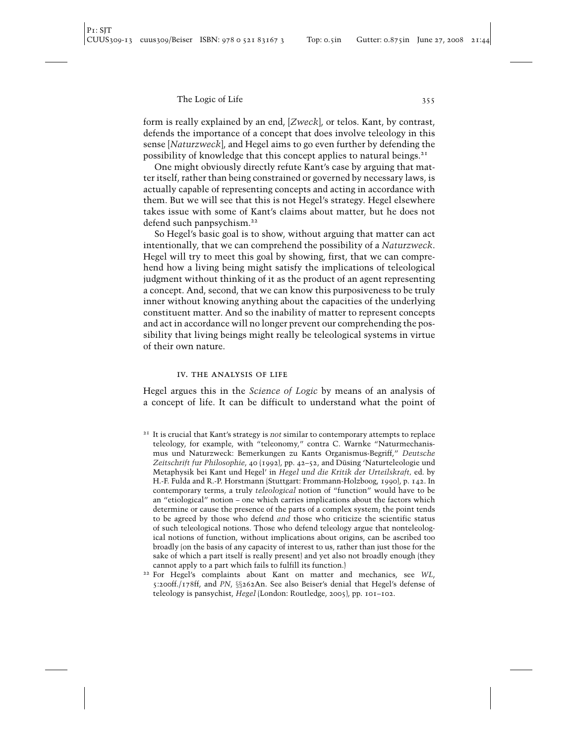form is really explained by an end, [*Zweck*], or telos. Kant, by contrast, defends the importance of a concept that does involve teleology in this sense [*Naturzweck*], and Hegel aims to go even further by defending the possibility of knowledge that this concept applies to natural beings.<sup>21</sup>

One might obviously directly refute Kant's case by arguing that matter itself, rather than being constrained or governed by necessary laws, is actually capable of representing concepts and acting in accordance with them. But we will see that this is not Hegel's strategy. Hegel elsewhere takes issue with some of Kant's claims about matter, but he does not defend such panpsychism.<sup>22</sup>

So Hegel's basic goal is to show, without arguing that matter can act intentionally, that we can comprehend the possibility of a *Naturzweck*. Hegel will try to meet this goal by showing, first, that we can comprehend how a living being might satisfy the implications of teleological judgment without thinking of it as the product of an agent representing a concept. And, second, that we can know this purposiveness to be truly inner without knowing anything about the capacities of the underlying constituent matter. And so the inability of matter to represent concepts and act in accordance will no longer prevent our comprehending the possibility that living beings might really be teleological systems in virtue of their own nature.

### iv. the analysis of life

Hegel argues this in the *Science of Logic* by means of an analysis of a concept of life. It can be difficult to understand what the point of

<sup>&</sup>lt;sup>21</sup> It is crucial that Kant's strategy is *not* similar to contemporary attempts to replace teleology, for example, with "teleonomy," contra C. Warnke "Naturmechanismus und Naturzweck: Bemerkungen zu Kants Organismus-Begriff," *Deutsche* Zeitschrift fur Philosophie, 40 (1992), pp. 42–52, and Düsing 'Naturteleologie und Metaphysik bei Kant und Hegel' in *Hegel und die Kritik der Urteilskraft,* ed. by H.-F. Fulda and R.-P. Horstmann (Stuttgart: Frommann-Holzboog, 1990), p. 142. In contemporary terms, a truly *teleological* notion of "function" would have to be an "etiological" notion – one which carries implications about the factors which determine or cause the presence of the parts of a complex system; the point tends to be agreed by those who defend *and* those who criticize the scientific status of such teleological notions. Those who defend teleology argue that nonteleological notions of function, without implications about origins, can be ascribed too broadly (on the basis of any capacity of interest to us, rather than just those for the sake of which a part itself is really present) and yet also not broadly enough (they

cannot apply to a part which fails to fulfill its function.) <sup>22</sup> For Hegel's complaints about Kant on matter and mechanics, see *WL*, <sup>5</sup>:200ff./178ff, and *PN*, §§262An. See also Beiser's denial that Hegel's defense of teleology is pansychist, *Hegel* (London: Routledge, 2005), pp. 101–102.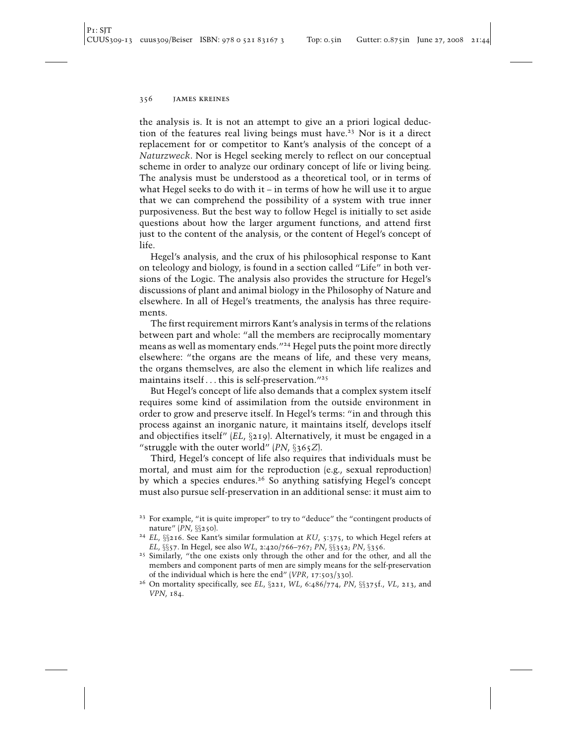the analysis is. It is not an attempt to give an a priori logical deduction of the features real living beings must have.<sup>23</sup> Nor is it a direct replacement for or competitor to Kant's analysis of the concept of a *Naturzweck*. Nor is Hegel seeking merely to reflect on our conceptual scheme in order to analyze our ordinary concept of life or living being. The analysis must be understood as a theoretical tool, or in terms of what Hegel seeks to do with it – in terms of how he will use it to argue that we can comprehend the possibility of a system with true inner purposiveness. But the best way to follow Hegel is initially to set aside questions about how the larger argument functions, and attend first just to the content of the analysis, or the content of Hegel's concept of life.

Hegel's analysis, and the crux of his philosophical response to Kant on teleology and biology, is found in a section called "Life" in both versions of the Logic. The analysis also provides the structure for Hegel's discussions of plant and animal biology in the Philosophy of Nature and elsewhere. In all of Hegel's treatments, the analysis has three requirements.

The first requirement mirrors Kant's analysis in terms of the relations between part and whole: "all the members are reciprocally momentary means as well as momentary ends."<sup>24</sup> Hegel puts the point more directly elsewhere: "the organs are the means of life, and these very means, the organs themselves, are also the element in which life realizes and maintains itself . . . this is self-preservation."<sup>25</sup>

But Hegel's concept of life also demands that a complex system itself requires some kind of assimilation from the outside environment in order to grow and preserve itself. In Hegel's terms: "in and through this process against an inorganic nature, it maintains itself, develops itself and objectifies itself" (*EL*, §219). Alternatively, it must be engaged in a "struggle with the outer world"  $(PN, \S 365 Z)$ .

Third, Hegel's concept of life also requires that individuals must be mortal, and must aim for the reproduction (e.g., sexual reproduction) by which a species endures.<sup>26</sup> So anything satisfying Hegel's concept must also pursue self-preservation in an additional sense: it must aim to

<sup>&</sup>lt;sup>23</sup> For example, "it is quite improper" to try to "deduce" the "contingent products of

nature" (*PN*, §§250).<br><sup>24</sup> *EL*, §§216. See Kant's similar formulation at *KU*, 5:375, to which Hegel refers at *EL*, §§57. In Hegel, see also *WL*, 2:420/766–767; *PN*, §§352; *PN*, §356.

<sup>&</sup>lt;sup>25</sup> Similarly, "the one exists only through the other and for the other, and all the members and component parts of men are simply means for the self-preservation

of the individual which is here the end" (*VPR*, <sup>17</sup>:503/330). <sup>26</sup> On mortality specifically, see *EL*, §221, *WL*, <sup>6</sup>:486/774, *PN*, §§375f., *VL*, <sup>213</sup>, and *VPN*, 184.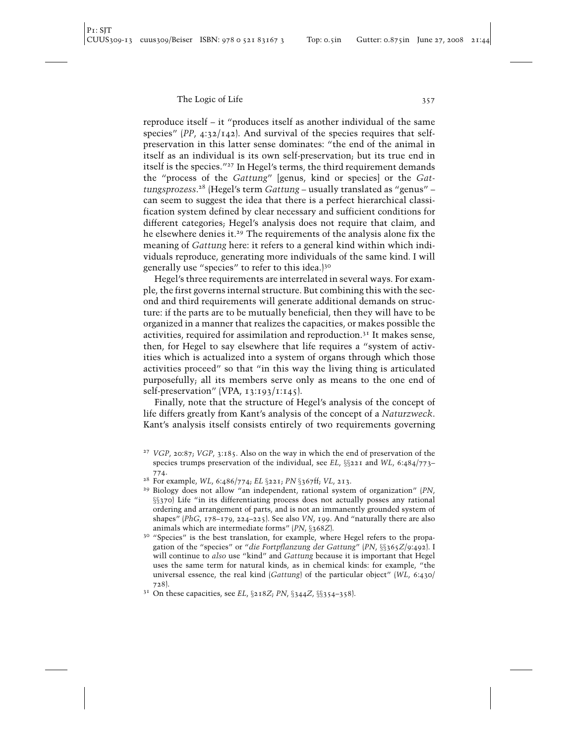reproduce itself – it "produces itself as another individual of the same species" (*PP*, 4:32/142). And survival of the species requires that selfpreservation in this latter sense dominates: "the end of the animal in itself as an individual is its own self-preservation; but its true end in itself is the species."<sup>27</sup> In Hegel's terms, the third requirement demands the "process of the *Gattung*" [genus, kind or species] or the *Gattungsprozess*. <sup>28</sup> (Hegel's term *Gattung* – usually translated as "genus" – can seem to suggest the idea that there is a perfect hierarchical classification system defined by clear necessary and sufficient conditions for different categories; Hegel's analysis does not require that claim, and he elsewhere denies it.<sup>29</sup> The requirements of the analysis alone fix the meaning of *Gattung* here: it refers to a general kind within which individuals reproduce, generating more individuals of the same kind. I will generally use "species" to refer to this idea.)<sup>30</sup>

Hegel's three requirements are interrelated in several ways. For example, the first governs internal structure. But combining this with the second and third requirements will generate additional demands on structure: if the parts are to be mutually beneficial, then they will have to be organized in a manner that realizes the capacities, or makes possible the activities, required for assimilation and reproduction.<sup>31</sup> It makes sense, then, for Hegel to say elsewhere that life requires a "system of activities which is actualized into a system of organs through which those activities proceed" so that "in this way the living thing is articulated purposefully; all its members serve only as means to the one end of self-preservation" (VPA,  $13:193/1:145$ ).

Finally, note that the structure of Hegel's analysis of the concept of life differs greatly from Kant's analysis of the concept of a *Naturzweck*. Kant's analysis itself consists entirely of two requirements governing

<sup>27</sup> *VGP*, 20:87; *VGP*, 3:185. Also on the way in which the end of preservation of the species trumps preservation of the individual, see *EL*, §§<sup>221</sup> and *WL*, <sup>6</sup>:484/773–

<sup>774</sup>. <sup>28</sup> For example, *WL*, <sup>6</sup>:486/774; *EL* §221; *PN* §367ff; *VL*, <sup>213</sup>. <sup>29</sup> Biology does not allow "an independent, rational system of organization" (*PN*, §§370) Life "in its differentiating process does not actually posses any rational ordering and arrangement of parts, and is not an immanently grounded system of shapes" (*PhG*, 178–179, 224–225). See also *VN*, 199. And "naturally there are also animals which are intermediate forms" (*PN*, §368*Z*). <sup>30</sup> "Species" is the best translation, for example, where Hegel refers to the propa-

gation of the "species" or "*die Fortpflanzung der Gattung*" (*PN*, §§365*Z*/9:492). I will continue to *also* use "kind" and *Gattung* because it is important that Hegel uses the same term for natural kinds, as in chemical kinds: for example, "the universal essence, the real kind (*Gattung*) of the particular object" (*WL*, 6:430/ <sup>728</sup>). <sup>31</sup> On these capacities, see *EL*, §218*Z*; *PN*, §344*Z*, §§354–358).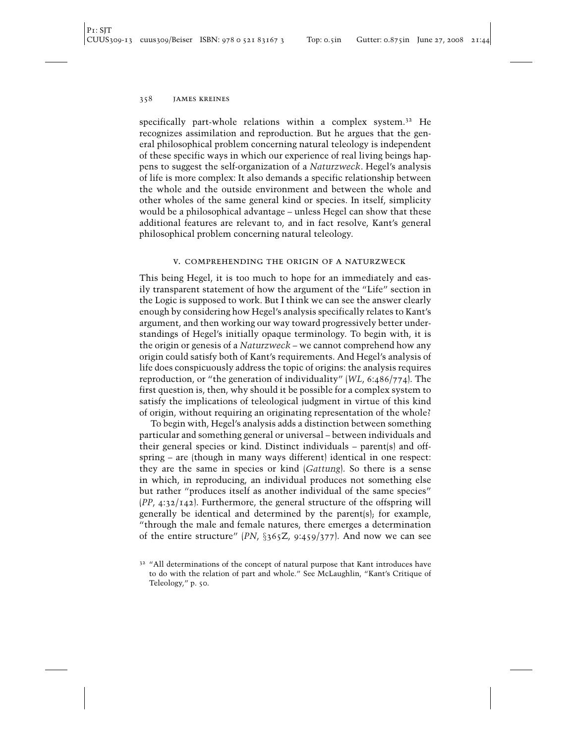specifically part-whole relations within a complex system.<sup>32</sup> He recognizes assimilation and reproduction. But he argues that the general philosophical problem concerning natural teleology is independent of these specific ways in which our experience of real living beings happens to suggest the self-organization of a *Naturzweck*. Hegel's analysis of life is more complex: It also demands a specific relationship between the whole and the outside environment and between the whole and other wholes of the same general kind or species. In itself, simplicity would be a philosophical advantage – unless Hegel can show that these additional features are relevant to, and in fact resolve, Kant's general philosophical problem concerning natural teleology.

# v. comprehending the origin of a naturzweck

This being Hegel, it is too much to hope for an immediately and easily transparent statement of how the argument of the "Life" section in the Logic is supposed to work. But I think we can see the answer clearly enough by considering how Hegel's analysis specifically relates to Kant's argument, and then working our way toward progressively better understandings of Hegel's initially opaque terminology. To begin with, it is the origin or genesis of a *Naturzweck* – we cannot comprehend how any origin could satisfy both of Kant's requirements. And Hegel's analysis of life does conspicuously address the topic of origins: the analysis requires reproduction, or "the generation of individuality" (*WL*, 6:486/774). The first question is, then, why should it be possible for a complex system to satisfy the implications of teleological judgment in virtue of this kind of origin, without requiring an originating representation of the whole?

To begin with, Hegel's analysis adds a distinction between something particular and something general or universal – between individuals and their general species or kind. Distinct individuals – parent(s) and offspring – are (though in many ways different) identical in one respect: they are the same in species or kind (*Gattung*). So there is a sense in which, in reproducing, an individual produces not something else but rather "produces itself as another individual of the same species" (*PP*, 4:32/142). Furthermore, the general structure of the offspring will generally be identical and determined by the parent(s); for example, "through the male and female natures, there emerges a determination of the entire structure" (*PN*, §365Z, <sup>9</sup>:459/377). And now we can see

 $32$  "All determinations of the concept of natural purpose that Kant introduces have to do with the relation of part and whole." See McLaughlin, "Kant's Critique of Teleology," p. 50.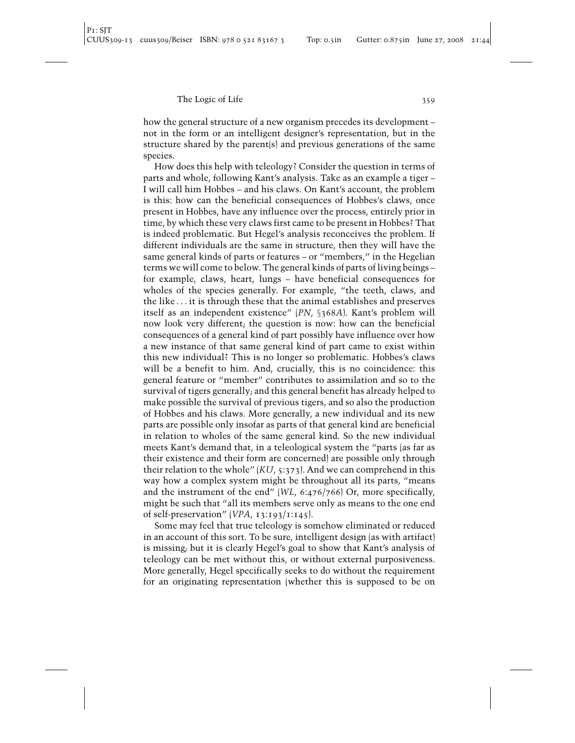how the general structure of a new organism precedes its development – not in the form or an intelligent designer's representation, but in the structure shared by the parent(s) and previous generations of the same species.

How does this help with teleology? Consider the question in terms of parts and whole, following Kant's analysis. Take as an example a tiger – I will call him Hobbes – and his claws. On Kant's account, the problem is this: how can the beneficial consequences of Hobbes's claws, once present in Hobbes, have any influence over the process, entirely prior in time, by which these very claws first came to be present in Hobbes? That is indeed problematic. But Hegel's analysis reconceives the problem. If different individuals are the same in structure, then they will have the same general kinds of parts or features – or "members," in the Hegelian terms we will come to below. The general kinds of parts of living beings – for example, claws, heart, lungs – have beneficial consequences for wholes of the species generally. For example, "the teeth, claws, and the like . . . it is through these that the animal establishes and preserves itself as an independent existence" (*PN*, §368*A*). Kant's problem will now look very different; the question is now: how can the beneficial consequences of a general kind of part possibly have influence over how a new instance of that same general kind of part came to exist within this new individual? This is no longer so problematic. Hobbes's claws will be a benefit to him. And, crucially, this is no coincidence: this general feature or "member" contributes to assimilation and so to the survival of tigers generally; and this general benefit has already helped to make possible the survival of previous tigers, and so also the production of Hobbes and his claws. More generally, a new individual and its new parts are possible only insofar as parts of that general kind are beneficial in relation to wholes of the same general kind. So the new individual meets Kant's demand that, in a teleological system the "parts (as far as their existence and their form are concerned) are possible only through their relation to the whole" (*KU*, 5:373). And we can comprehend in this way how a complex system might be throughout all its parts, "means and the instrument of the end" (*WL*, 6:476/766) Or, more specifically, might be such that "all its members serve only as means to the one end of self-preservation" (*VPA*, 13:193/1:145).

Some may feel that true teleology is somehow eliminated or reduced in an account of this sort. To be sure, intelligent design (as with artifact) is missing; but it is clearly Hegel's goal to show that Kant's analysis of teleology can be met without this, or without external purposiveness. More generally, Hegel specifically seeks to do without the requirement for an originating representation (whether this is supposed to be on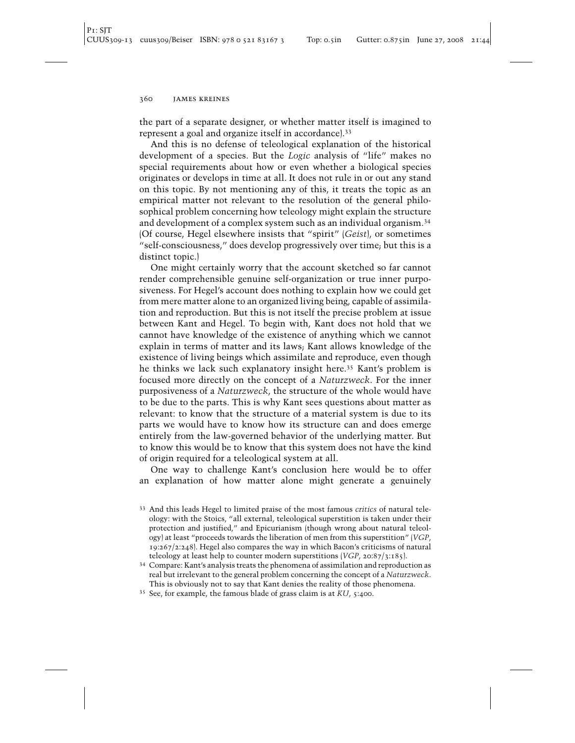the part of a separate designer, or whether matter itself is imagined to represent a goal and organize itself in accordance).<sup>33</sup>

And this is no defense of teleological explanation of the historical development of a species. But the *Logic* analysis of "life" makes no special requirements about how or even whether a biological species originates or develops in time at all. It does not rule in or out any stand on this topic. By not mentioning any of this, it treats the topic as an empirical matter not relevant to the resolution of the general philosophical problem concerning how teleology might explain the structure and development of a complex system such as an individual organism.<sup>34</sup> (Of course, Hegel elsewhere insists that "spirit" (*Geist*), or sometimes "self-consciousness," does develop progressively over time; but this is a distinct topic.)

One might certainly worry that the account sketched so far cannot render comprehensible genuine self-organization or true inner purposiveness. For Hegel's account does nothing to explain how we could get from mere matter alone to an organized living being, capable of assimilation and reproduction. But this is not itself the precise problem at issue between Kant and Hegel. To begin with, Kant does not hold that we cannot have knowledge of the existence of anything which we cannot explain in terms of matter and its laws; Kant allows knowledge of the existence of living beings which assimilate and reproduce, even though he thinks we lack such explanatory insight here.<sup>35</sup> Kant's problem is focused more directly on the concept of a *Naturzweck*. For the inner purposiveness of a *Naturzweck*, the structure of the whole would have to be due to the parts. This is why Kant sees questions about matter as relevant: to know that the structure of a material system is due to its parts we would have to know how its structure can and does emerge entirely from the law-governed behavior of the underlying matter. But to know this would be to know that this system does not have the kind of origin required for a teleological system at all.

One way to challenge Kant's conclusion here would be to offer an explanation of how matter alone might generate a genuinely

<sup>33</sup> And this leads Hegel to limited praise of the most famous *critics* of natural teleology: with the Stoics, "all external, teleological superstition is taken under their protection and justified," and Epicurianism (though wrong about natural teleology) at least "proceeds towards the liberation of men from this superstition" (*VGP*, 19:267/2:248). Hegel also compares the way in which Bacon's criticisms of natural

teleology at least help to counter modern superstitions (*VGP*, <sup>20</sup>:87/3:185). <sup>34</sup> Compare: Kant's analysis treats the phenomena of assimilation and reproduction as real but irrelevant to the general problem concerning the concept of a *Naturzweck*. This is obviously not to say that Kant denies the reality of those phenomena. <sup>35</sup> See, for example, the famous blade of grass claim is at *KU*, <sup>5</sup>:400.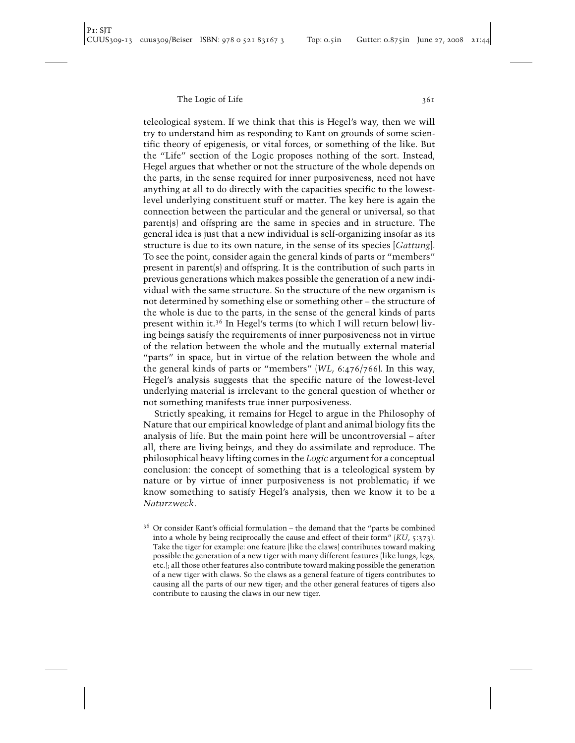teleological system. If we think that this is Hegel's way, then we will try to understand him as responding to Kant on grounds of some scientific theory of epigenesis, or vital forces, or something of the like. But the "Life" section of the Logic proposes nothing of the sort. Instead, Hegel argues that whether or not the structure of the whole depends on the parts, in the sense required for inner purposiveness, need not have anything at all to do directly with the capacities specific to the lowestlevel underlying constituent stuff or matter. The key here is again the connection between the particular and the general or universal, so that parent(s) and offspring are the same in species and in structure. The general idea is just that a new individual is self-organizing insofar as its structure is due to its own nature, in the sense of its species [*Gattung*]. To see the point, consider again the general kinds of parts or "members" present in parent(s) and offspring. It is the contribution of such parts in previous generations which makes possible the generation of a new individual with the same structure. So the structure of the new organism is not determined by something else or something other – the structure of the whole is due to the parts, in the sense of the general kinds of parts present within it.<sup>36</sup> In Hegel's terms (to which I will return below) living beings satisfy the requirements of inner purposiveness not in virtue of the relation between the whole and the mutually external material "parts" in space, but in virtue of the relation between the whole and the general kinds of parts or "members" (*WL*, 6:476/766). In this way, Hegel's analysis suggests that the specific nature of the lowest-level underlying material is irrelevant to the general question of whether or not something manifests true inner purposiveness.

Strictly speaking, it remains for Hegel to argue in the Philosophy of Nature that our empirical knowledge of plant and animal biology fits the analysis of life. But the main point here will be uncontroversial – after all, there are living beings, and they do assimilate and reproduce. The philosophical heavy lifting comes in the *Logic* argument for a conceptual conclusion: the concept of something that is a teleological system by nature or by virtue of inner purposiveness is not problematic; if we know something to satisfy Hegel's analysis, then we know it to be a *Naturzweck*.

<sup>36</sup> Or consider Kant's official formulation – the demand that the "parts be combined into a whole by being reciprocally the cause and effect of their form" (*KU*, 5:373). Take the tiger for example: one feature (like the claws) contributes toward making possible the generation of a new tiger with many different features (like lungs, legs, etc.); all those other features also contribute toward making possible the generation of a new tiger with claws. So the claws as a general feature of tigers contributes to causing all the parts of our new tiger; and the other general features of tigers also contribute to causing the claws in our new tiger.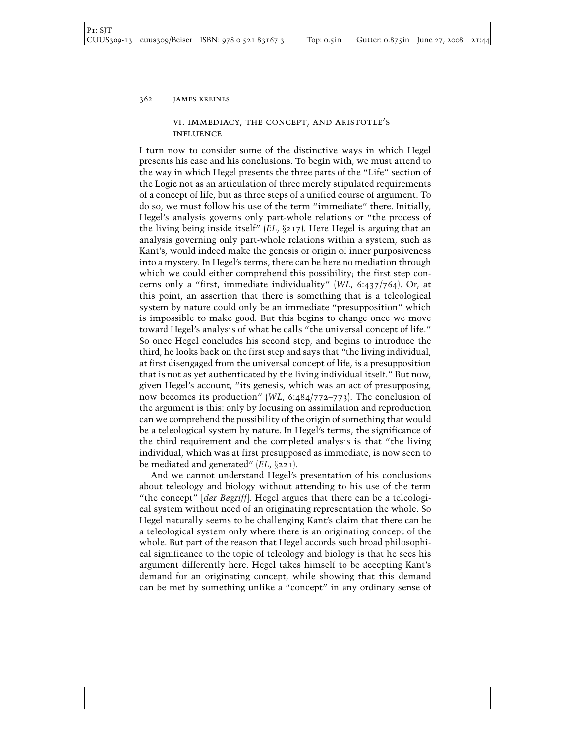# vi. immediacy, the concept, and aristotle's **INFLUENCE**

I turn now to consider some of the distinctive ways in which Hegel presents his case and his conclusions. To begin with, we must attend to the way in which Hegel presents the three parts of the "Life" section of the Logic not as an articulation of three merely stipulated requirements of a concept of life, but as three steps of a unified course of argument. To do so, we must follow his use of the term "immediate" there. Initially, Hegel's analysis governs only part-whole relations or "the process of the living being inside itself" (*EL*, §217). Here Hegel is arguing that an analysis governing only part-whole relations within a system, such as Kant's, would indeed make the genesis or origin of inner purposiveness into a mystery. In Hegel's terms, there can be here no mediation through which we could either comprehend this possibility; the first step concerns only a "first, immediate individuality" (*WL*, 6:437/764). Or, at this point, an assertion that there is something that is a teleological system by nature could only be an immediate "presupposition" which is impossible to make good. But this begins to change once we move toward Hegel's analysis of what he calls "the universal concept of life." So once Hegel concludes his second step, and begins to introduce the third, he looks back on the first step and says that "the living individual, at first disengaged from the universal concept of life, is a presupposition that is not as yet authenticated by the living individual itself." But now, given Hegel's account, "its genesis, which was an act of presupposing, now becomes its production" (*WL*, 6:484/772–773). The conclusion of the argument is this: only by focusing on assimilation and reproduction can we comprehend the possibility of the origin of something that would be a teleological system by nature. In Hegel's terms, the significance of the third requirement and the completed analysis is that "the living individual, which was at first presupposed as immediate, is now seen to be mediated and generated" (*EL*, §221).

And we cannot understand Hegel's presentation of his conclusions about teleology and biology without attending to his use of the term "the concept" [*der Begriff*]. Hegel argues that there can be a teleological system without need of an originating representation the whole. So Hegel naturally seems to be challenging Kant's claim that there can be a teleological system only where there is an originating concept of the whole. But part of the reason that Hegel accords such broad philosophical significance to the topic of teleology and biology is that he sees his argument differently here. Hegel takes himself to be accepting Kant's demand for an originating concept, while showing that this demand can be met by something unlike a "concept" in any ordinary sense of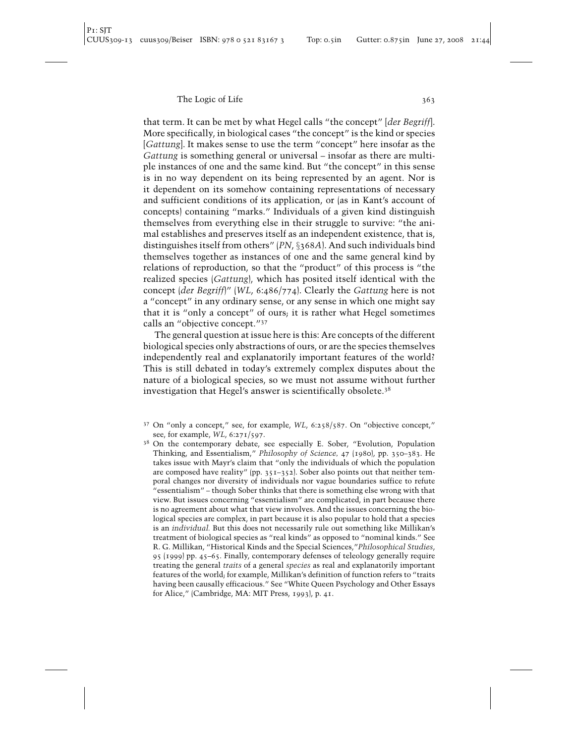that term. It can be met by what Hegel calls "the concept" [*der Begriff*]. More specifically, in biological cases "the concept" is the kind or species [*Gattung*]. It makes sense to use the term "concept" here insofar as the *Gattung* is something general or universal – insofar as there are multiple instances of one and the same kind. But "the concept" in this sense is in no way dependent on its being represented by an agent. Nor is it dependent on its somehow containing representations of necessary and sufficient conditions of its application, or (as in Kant's account of concepts) containing "marks." Individuals of a given kind distinguish themselves from everything else in their struggle to survive: "the animal establishes and preserves itself as an independent existence, that is, distinguishes itself from others" (*PN*, §368*A*). And such individuals bind themselves together as instances of one and the same general kind by relations of reproduction, so that the "product" of this process is "the realized species (*Gattung*), which has posited itself identical with the concept (*der Begriff*)" (*WL*, 6:486/774). Clearly the *Gattung* here is not a "concept" in any ordinary sense, or any sense in which one might say that it is "only a concept" of ours; it is rather what Hegel sometimes calls an "objective concept."<sup>37</sup>

The general question at issue here is this: Are concepts of the different biological species only abstractions of ours, or are the species themselves independently real and explanatorily important features of the world? This is still debated in today's extremely complex disputes about the nature of a biological species, so we must not assume without further investigation that Hegel's answer is scientifically obsolete.<sup>38</sup>

- <sup>37</sup> On "only a concept," see, for example, *WL*, 6:258/587. On "objective concept,"
- see, for example, *WL*, 6:271/597.<br><sup>38</sup> On the contemporary debate, see especially E. Sober, "Evolution, Population Thinking, and Essentialism," *Philosophy of Science,* 47 (1980), pp. 350–383. He takes issue with Mayr's claim that "only the individuals of which the population are composed have reality" (pp.  $351-352$ ). Sober also points out that neither temporal changes nor diversity of individuals nor vague boundaries suffice to refute "essentialism" – though Sober thinks that there is something else wrong with that view. But issues concerning "essentialism" are complicated, in part because there is no agreement about what that view involves. And the issues concerning the biological species are complex, in part because it is also popular to hold that a species is an *individual.* But this does not necessarily rule out something like Millikan's treatment of biological species as "real kinds" as opposed to "nominal kinds." See R. G. Millikan, "Historical Kinds and the Special Sciences,"*Philosophical Studies*, 95 (1999) pp. 45–65. Finally, contemporary defenses of teleology generally require treating the general *traits* of a general *species* as real and explanatorily important features of the world; for example, Millikan's definition of function refers to "traits having been causally efficacious." See "White Queen Psychology and Other Essays for Alice," (Cambridge, MA: MIT Press, 1993), p. 41.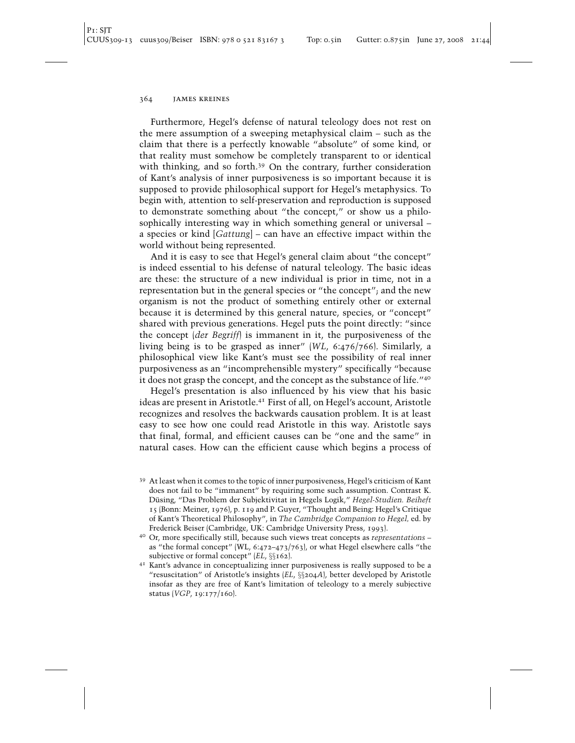Furthermore, Hegel's defense of natural teleology does not rest on the mere assumption of a sweeping metaphysical claim – such as the claim that there is a perfectly knowable "absolute" of some kind, or that reality must somehow be completely transparent to or identical with thinking, and so forth.<sup>39</sup> On the contrary, further consideration of Kant's analysis of inner purposiveness is so important because it is supposed to provide philosophical support for Hegel's metaphysics. To begin with, attention to self-preservation and reproduction is supposed to demonstrate something about "the concept," or show us a philosophically interesting way in which something general or universal – a species or kind [*Gattung*] – can have an effective impact within the world without being represented.

And it is easy to see that Hegel's general claim about "the concept" is indeed essential to his defense of natural teleology. The basic ideas are these: the structure of a new individual is prior in time, not in a representation but in the general species or "the concept"; and the new organism is not the product of something entirely other or external because it is determined by this general nature, species, or "concept" shared with previous generations. Hegel puts the point directly: "since the concept (*der Begriff*) is immanent in it, the purposiveness of the living being is to be grasped as inner" (*WL*, 6:476/766). Similarly, a philosophical view like Kant's must see the possibility of real inner purposiveness as an "incomprehensible mystery" specifically "because it does not grasp the concept, and the concept as the substance of life."<sup>40</sup>

Hegel's presentation is also influenced by his view that his basic ideas are present in Aristotle.<sup>41</sup> First of all, on Hegel's account, Aristotle recognizes and resolves the backwards causation problem. It is at least easy to see how one could read Aristotle in this way. Aristotle says that final, formal, and efficient causes can be "one and the same" in natural cases. How can the efficient cause which begins a process of

- <sup>39</sup> At least when it comes to the topic of inner purposiveness, Hegel's criticism of Kant does not fail to be "immanent" by requiring some such assumption. Contrast K. Düsing, "Das Problem der Subjektivitat in Hegels Logik," Hegel-Studien. Beiheft 15 (Bonn: Meiner, 1976), p. 119 and P. Guyer, "Thought and Being: Hegel's Critique of Kant's Theoretical Philosophy", in *The Cambridge Companion to Hegel,* ed. by Frederick Beiser (Cambridge, UK: Cambridge University Press, <sup>1993</sup>). <sup>40</sup> Or, more specifically still, because such views treat concepts as *representations* –
- as "the formal concept" (WL, 6:472–473/763), or what Hegel elsewhere calls "the subjective or formal concept" (*EL*, §§162). <sup>41</sup> Kant's advance in conceptualizing inner purposiveness is really supposed to be a
- "resuscitation" of Aristotle's insights (*EL*, §§204*A*), better developed by Aristotle insofar as they are free of Kant's limitation of teleology to a merely subjective status (*VGP*, 19:177/160).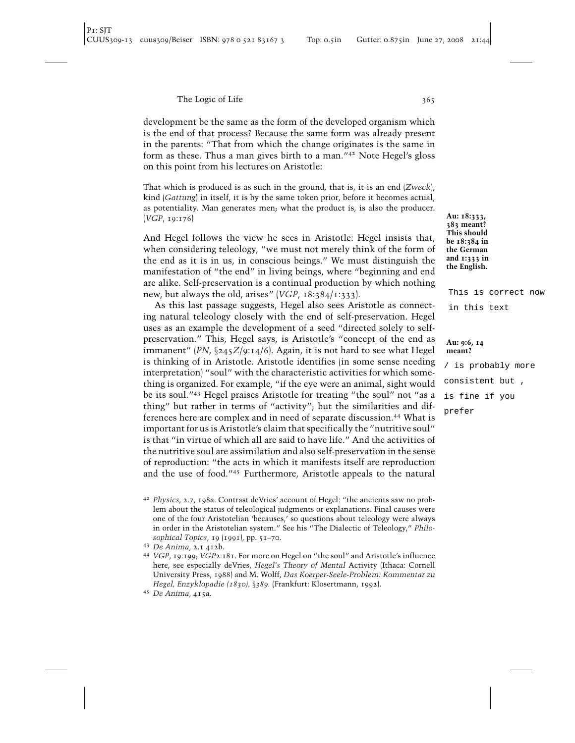development be the same as the form of the developed organism which is the end of that process? Because the same form was already present in the parents: "That from which the change originates is the same in form as these. Thus a man gives birth to a man."<sup>42</sup> Note Hegel's gloss on this point from his lectures on Aristotle:

That which is produced is as such in the ground, that is, it is an end (*Zweck*), kind (*Gattung*) in itself, it is by the same token prior, before it becomes actual, as potentiality. Man generates men; what the product is, is also the producer. (*VGP*, 19:176)

And Hegel follows the view he sees in Aristotle: Hegel insists that, when considering teleology, "we must not merely think of the form of the end as it is in us, in conscious beings." We must distinguish the manifestation of "the end" in living beings, where "beginning and end are alike. Self-preservation is a continual production by which nothing new, but always the old, arises" (*VGP*, 18:384/1:333).

As this last passage suggests, Hegel also sees Aristotle as connecting natural teleology closely with the end of self-preservation. Hegel uses as an example the development of a seed "directed solely to selfpreservation." This, Hegel says, is Aristotle's "concept of the end as preservation." This, Hegel says, is Aristotle's "concept of the end as  $A_{\text{u}:9:6,14}$  immanent"  $\left(PN, \frac{6}{245}Z/9:14/6\right)$ . Again, it is not hard to see what Hegel meant? is thinking of in Aristotle. Aristotle identifies (in some sense needing interpretation) "soul" with the characteristic activities for which something is organized. For example, "if the eye were an animal, sight would be its soul."<sup>43</sup> Hegel praises Aristotle for treating "the soul" not "as a thing" but rather in terms of "activity"; but the similarities and differences here are complex and in need of separate discussion.<sup>44</sup> What is important for us is Aristotle's claim that specifically the "nutritive soul" is that "in virtue of which all are said to have life." And the activities of the nutritive soul are assimilation and also self-preservation in the sense of reproduction: "the acts in which it manifests itself are reproduction and the use of food."<sup>45</sup> Furthermore, Aristotle appeals to the natural

**Au: 18:333, 383 meant? This should be 18:384 in the German and 1:333 in the English.** This is correct now

in this text

**meant?**

/ is probably more consistent but , is fine if you prefer

<sup>42</sup> *Physics*, 2.7, 198a. Contrast deVries' account of Hegel: "the ancients saw no problem about the status of teleological judgments or explanations. Final causes were one of the four Aristotelian 'becauses,' so questions about teleology were always in order in the Aristotelian system." See his "The Dialectic of Teleology," *Philo-*

*sophical Topics*, <sup>19</sup> (1991), pp. <sup>51</sup>–70. <sup>43</sup> *De Anima*, <sup>2</sup>.1 412b. <sup>44</sup> *VGP*, <sup>19</sup>:199; *VGP*2:181. For more on Hegel on "the soul" and Aristotle's influence here, see especially deVries, *Hegel's Theory of Mental* Activity (Ithaca: Cornell University Press, 1988) and M. Wolff, *Das Koerper-Seele-Problem: Kommentar zu Hegel, Enzyklopadie (1830),* §*389.* (Frankfurt: Klosertmann, <sup>1992</sup>). <sup>45</sup> *De Anima*, <sup>415</sup>a.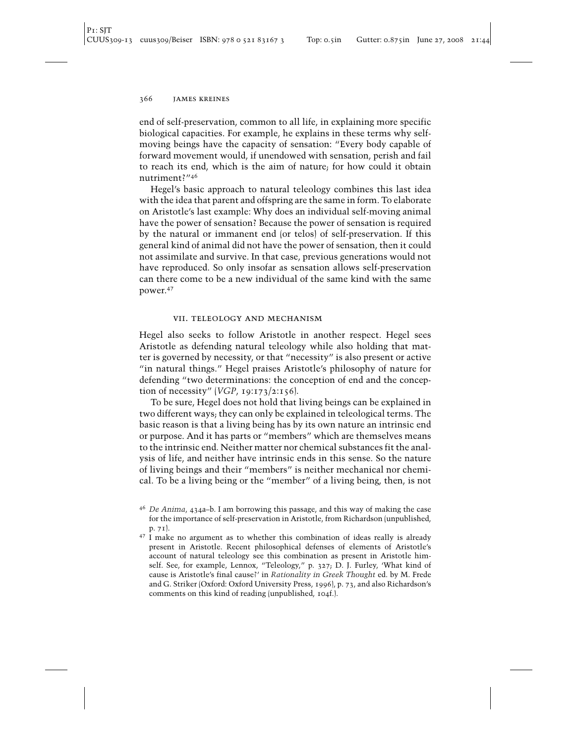end of self-preservation, common to all life, in explaining more specific biological capacities. For example, he explains in these terms why selfmoving beings have the capacity of sensation: "Every body capable of forward movement would, if unendowed with sensation, perish and fail to reach its end, which is the aim of nature; for how could it obtain nutriment?"<sup>46</sup>

Hegel's basic approach to natural teleology combines this last idea with the idea that parent and offspring are the same in form. To elaborate on Aristotle's last example: Why does an individual self-moving animal have the power of sensation? Because the power of sensation is required by the natural or immanent end (or telos) of self-preservation. If this general kind of animal did not have the power of sensation, then it could not assimilate and survive. In that case, previous generations would not have reproduced. So only insofar as sensation allows self-preservation can there come to be a new individual of the same kind with the same power.<sup>47</sup>

# vii. teleology and mechanism

Hegel also seeks to follow Aristotle in another respect. Hegel sees Aristotle as defending natural teleology while also holding that matter is governed by necessity, or that "necessity" is also present or active "in natural things." Hegel praises Aristotle's philosophy of nature for defending "two determinations: the conception of end and the conception of necessity" (*VGP*, 19:173/2:156).

To be sure, Hegel does not hold that living beings can be explained in two different ways; they can only be explained in teleological terms. The basic reason is that a living being has by its own nature an intrinsic end or purpose. And it has parts or "members" which are themselves means to the intrinsic end. Neither matter nor chemical substances fit the analysis of life, and neither have intrinsic ends in this sense. So the nature of living beings and their "members" is neither mechanical nor chemical. To be a living being or the "member" of a living being, then, is not

<sup>46</sup> *De Anima*, 434a–b. I am borrowing this passage, and this way of making the case for the importance of self-preservation in Aristotle, from Richardson (unpublished, p. <sup>71</sup>). <sup>47</sup> I make no argument as to whether this combination of ideas really is already

present in Aristotle. Recent philosophical defenses of elements of Aristotle's account of natural teleology see this combination as present in Aristotle himself. See, for example, Lennox, "Teleology," p. 327; D. J. Furley, 'What kind of cause is Aristotle's final cause?' in *Rationality in Greek Thought* ed. by M. Frede and G. Striker (Oxford: Oxford University Press, 1996), p. 73, and also Richardson's comments on this kind of reading (unpublished, 104f.).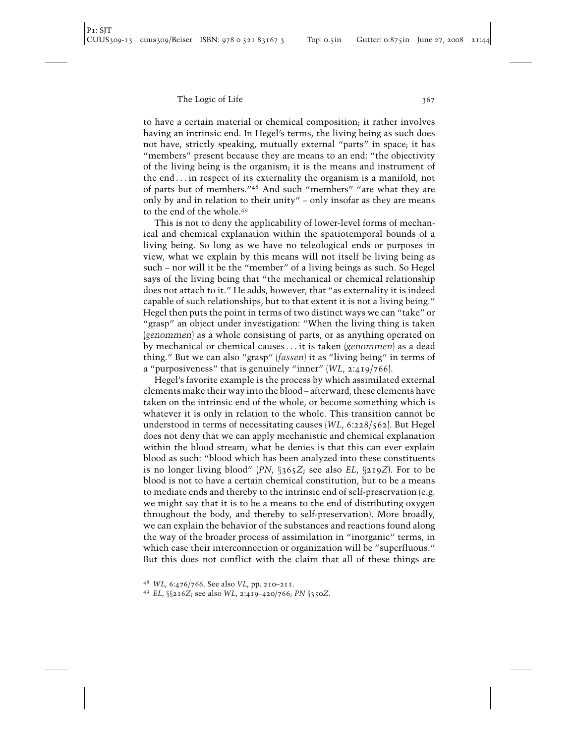to have a certain material or chemical composition; it rather involves having an intrinsic end. In Hegel's terms, the living being as such does not have, strictly speaking, mutually external "parts" in space; it has "members" present because they are means to an end: "the objectivity of the living being is the organism; it is the means and instrument of the end . . . in respect of its externality the organism is a manifold, not of parts but of members."<sup>48</sup> And such "members" "are what they are only by and in relation to their unity" – only insofar as they are means to the end of the whole.<sup>49</sup>

This is not to deny the applicability of lower-level forms of mechanical and chemical explanation within the spatiotemporal bounds of a living being. So long as we have no teleological ends or purposes in view, what we explain by this means will not itself be living being as such – nor will it be the "member" of a living beings as such. So Hegel says of the living being that "the mechanical or chemical relationship does not attach to it." He adds, however, that "as externality it is indeed capable of such relationships, but to that extent it is not a living being." Hegel then puts the point in terms of two distinct ways we can "take" or "grasp" an object under investigation: "When the living thing is taken (*genommen*) as a whole consisting of parts, or as anything operated on by mechanical or chemical causes . . . it is taken (*genommen*) as a dead thing." But we can also "grasp" (*fassen*) it as "living being" in terms of a "purposiveness" that is genuinely "inner" (*WL*, 2:419/766).

Hegel's favorite example is the process by which assimilated external elements make their way into the blood – afterward, these elements have taken on the intrinsic end of the whole, or become something which is whatever it is only in relation to the whole. This transition cannot be understood in terms of necessitating causes (*WL*, 6:228/562). But Hegel does not deny that we can apply mechanistic and chemical explanation within the blood stream; what he denies is that this can ever explain blood as such: "blood which has been analyzed into these constituents is no longer living blood" (*PN*, §365*Z*; see also *EL*, §219*Z*). For to be blood is not to have a certain chemical constitution, but to be a means to mediate ends and thereby to the intrinsic end of self-preservation (e.g. we might say that it is to be a means to the end of distributing oxygen throughout the body, and thereby to self-preservation). More broadly, we can explain the behavior of the substances and reactions found along the way of the broader process of assimilation in "inorganic" terms, in which case their interconnection or organization will be "superfluous." But this does not conflict with the claim that all of these things are

<sup>48</sup> *WL*, <sup>6</sup>:476/766. See also *VL*, pp. <sup>210</sup>–211. <sup>49</sup> *EL*, §§216*Z*; see also *WL*, <sup>2</sup>:419–420/766; *PN* §350*Z*.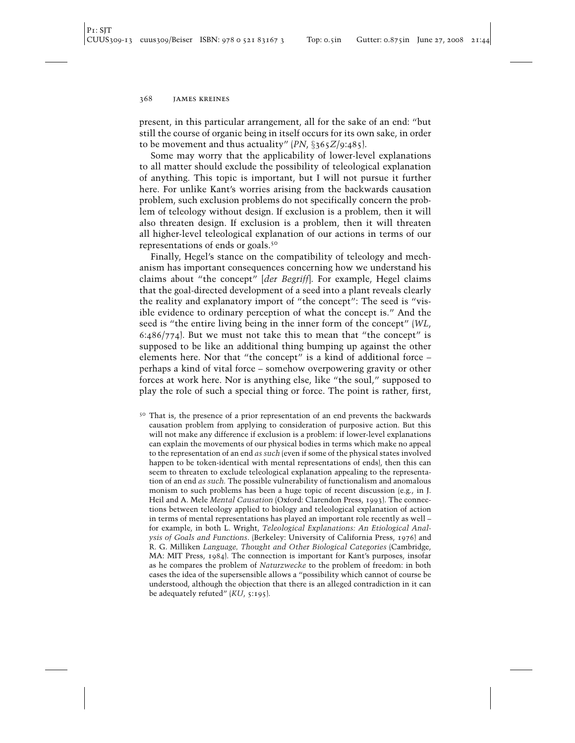present, in this particular arrangement, all for the sake of an end: "but still the course of organic being in itself occurs for its own sake, in order to be movement and thus actuality" (*PN*, §365*Z*/9:485).

Some may worry that the applicability of lower-level explanations to all matter should exclude the possibility of teleological explanation of anything. This topic is important, but I will not pursue it further here. For unlike Kant's worries arising from the backwards causation problem, such exclusion problems do not specifically concern the problem of teleology without design. If exclusion is a problem, then it will also threaten design. If exclusion is a problem, then it will threaten all higher-level teleological explanation of our actions in terms of our representations of ends or goals.<sup>50</sup>

Finally, Hegel's stance on the compatibility of teleology and mechanism has important consequences concerning how we understand his claims about "the concept" [*der Begriff*]. For example, Hegel claims that the goal-directed development of a seed into a plant reveals clearly the reality and explanatory import of "the concept": The seed is "visible evidence to ordinary perception of what the concept is." And the seed is "the entire living being in the inner form of the concept" (*WL*, 6:486/774). But we must not take this to mean that "the concept" is supposed to be like an additional thing bumping up against the other elements here. Nor that "the concept" is a kind of additional force – perhaps a kind of vital force – somehow overpowering gravity or other forces at work here. Nor is anything else, like "the soul," supposed to play the role of such a special thing or force. The point is rather, first,

<sup>50</sup> That is, the presence of a prior representation of an end prevents the backwards causation problem from applying to consideration of purposive action. But this will not make any difference if exclusion is a problem: if lower-level explanations can explain the movements of our physical bodies in terms which make no appeal to the representation of an end *as such* (even if some of the physical states involved happen to be token-identical with mental representations of ends), then this can seem to threaten to exclude teleological explanation appealing to the representation of an end *as such.* The possible vulnerability of functionalism and anomalous monism to such problems has been a huge topic of recent discussion (e.g., in J. Heil and A. Mele *Mental Causation* (Oxford: Clarendon Press, 1993). The connections between teleology applied to biology and teleological explanation of action in terms of mental representations has played an important role recently as well – for example, in both L. Wright, *Teleological Explanations: An Etiological Analysis of Goals and Functions*. (Berkeley: University of California Press, 1976) and R. G. Milliken *Language, Thought and Other Biological Categories* (Cambridge, MA: MIT Press, 1984). The connection is important for Kant's purposes, insofar as he compares the problem of *Naturzwecke* to the problem of freedom: in both cases the idea of the supersensible allows a "possibility which cannot of course be understood, although the objection that there is an alleged contradiction in it can be adequately refuted" (*KU*, 5:195).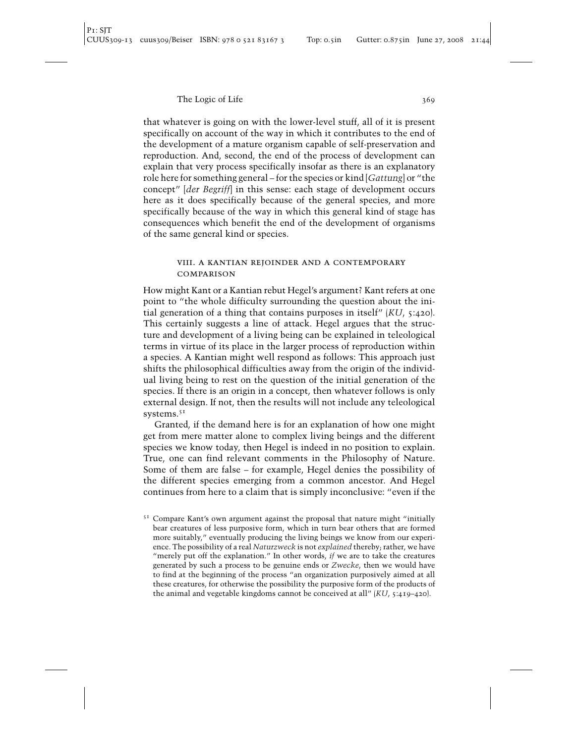that whatever is going on with the lower-level stuff, all of it is present specifically on account of the way in which it contributes to the end of the development of a mature organism capable of self-preservation and reproduction. And, second, the end of the process of development can explain that very process specifically insofar as there is an explanatory role here for something general – for the species or kind [*Gattung*] or "the concept" [*der Begriff*] in this sense: each stage of development occurs here as it does specifically because of the general species, and more specifically because of the way in which this general kind of stage has consequences which benefit the end of the development of organisms of the same general kind or species.

# viii. a kantian rejoinder and a contemporary comparison

How might Kant or a Kantian rebut Hegel's argument? Kant refers at one point to "the whole difficulty surrounding the question about the initial generation of a thing that contains purposes in itself" (*KU*, 5:420). This certainly suggests a line of attack. Hegel argues that the structure and development of a living being can be explained in teleological terms in virtue of its place in the larger process of reproduction within a species. A Kantian might well respond as follows: This approach just shifts the philosophical difficulties away from the origin of the individual living being to rest on the question of the initial generation of the species. If there is an origin in a concept, then whatever follows is only external design. If not, then the results will not include any teleological systems.<sup>51</sup>

Granted, if the demand here is for an explanation of how one might get from mere matter alone to complex living beings and the different species we know today, then Hegel is indeed in no position to explain. True, one can find relevant comments in the Philosophy of Nature. Some of them are false – for example, Hegel denies the possibility of the different species emerging from a common ancestor. And Hegel continues from here to a claim that is simply inconclusive: "even if the

<sup>&</sup>lt;sup>51</sup> Compare Kant's own argument against the proposal that nature might "initially bear creatures of less purposive form, which in turn bear others that are formed more suitably," eventually producing the living beings we know from our experience. The possibility of a real *Naturzweck* is not *explained* thereby; rather, we have "merely put off the explanation." In other words, *if* we are to take the creatures generated by such a process to be genuine ends or *Zwecke*, then we would have to find at the beginning of the process "an organization purposively aimed at all these creatures, for otherwise the possibility the purposive form of the products of the animal and vegetable kingdoms cannot be conceived at all" (*KU*, 5:419–420).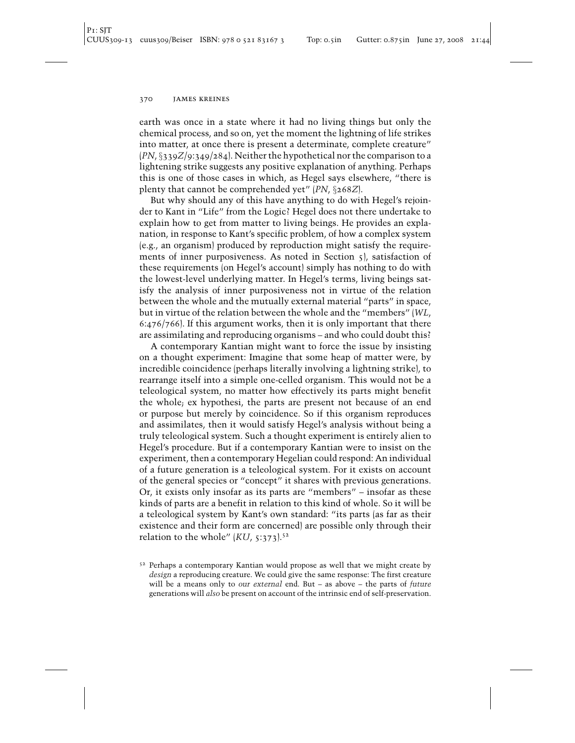earth was once in a state where it had no living things but only the chemical process, and so on, yet the moment the lightning of life strikes into matter, at once there is present a determinate, complete creature" (*PN*, §339*Z*/9:349/284). Neither the hypothetical nor the comparison to a lightening strike suggests any positive explanation of anything. Perhaps this is one of those cases in which, as Hegel says elsewhere, "there is plenty that cannot be comprehended yet" (*PN*, §268*Z*).

But why should any of this have anything to do with Hegel's rejoinder to Kant in "Life" from the Logic? Hegel does not there undertake to explain how to get from matter to living beings. He provides an explanation, in response to Kant's specific problem, of how a complex system (e.g., an organism) produced by reproduction might satisfy the requirements of inner purposiveness. As noted in Section 5), satisfaction of these requirements (on Hegel's account) simply has nothing to do with the lowest-level underlying matter. In Hegel's terms, living beings satisfy the analysis of inner purposiveness not in virtue of the relation between the whole and the mutually external material "parts" in space, but in virtue of the relation between the whole and the "members" (*WL*, 6:476/766). If this argument works, then it is only important that there are assimilating and reproducing organisms – and who could doubt this?

A contemporary Kantian might want to force the issue by insisting on a thought experiment: Imagine that some heap of matter were, by incredible coincidence (perhaps literally involving a lightning strike), to rearrange itself into a simple one-celled organism. This would not be a teleological system, no matter how effectively its parts might benefit the whole; ex hypothesi, the parts are present not because of an end or purpose but merely by coincidence. So if this organism reproduces and assimilates, then it would satisfy Hegel's analysis without being a truly teleological system. Such a thought experiment is entirely alien to Hegel's procedure. But if a contemporary Kantian were to insist on the experiment, then a contemporary Hegelian could respond: An individual of a future generation is a teleological system. For it exists on account of the general species or "concept" it shares with previous generations. Or, it exists only insofar as its parts are "members" – insofar as these kinds of parts are a benefit in relation to this kind of whole. So it will be a teleological system by Kant's own standard: "its parts (as far as their existence and their form are concerned) are possible only through their relation to the whole"  $(KU, 5:373).$ <sup>52</sup>

<sup>&</sup>lt;sup>52</sup> Perhaps a contemporary Kantian would propose as well that we might create by *design* a reproducing creature. We could give the same response: The first creature will be a means only to *our external* end. But – as above – the parts of *future* generations will *also* be present on account of the intrinsic end of self-preservation.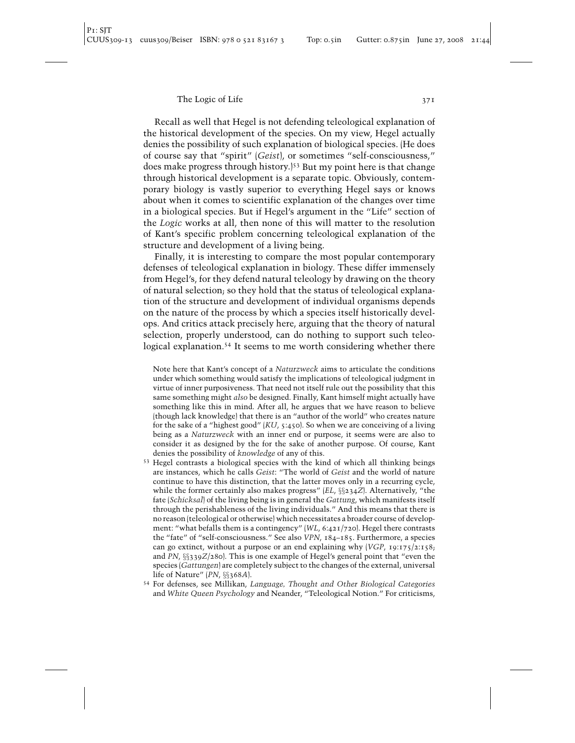Recall as well that Hegel is not defending teleological explanation of the historical development of the species. On my view, Hegel actually denies the possibility of such explanation of biological species. (He does of course say that "spirit" (*Geist*), or sometimes "self-consciousness," does make progress through history.)<sup>53</sup> But my point here is that change through historical development is a separate topic. Obviously, contemporary biology is vastly superior to everything Hegel says or knows about when it comes to scientific explanation of the changes over time in a biological species. But if Hegel's argument in the "Life" section of the *Logic* works at all, then none of this will matter to the resolution of Kant's specific problem concerning teleological explanation of the structure and development of a living being.

Finally, it is interesting to compare the most popular contemporary defenses of teleological explanation in biology. These differ immensely from Hegel's, for they defend natural teleology by drawing on the theory of natural selection; so they hold that the status of teleological explanation of the structure and development of individual organisms depends on the nature of the process by which a species itself historically develops. And critics attack precisely here, arguing that the theory of natural selection, properly understood, can do nothing to support such teleological explanation.<sup>54</sup> It seems to me worth considering whether there

Note here that Kant's concept of a *Naturzweck* aims to articulate the conditions under which something would satisfy the implications of teleological judgment in virtue of inner purposiveness. That need not itself rule out the possibility that this same something might *also* be designed. Finally, Kant himself might actually have something like this in mind. After all, he argues that we have reason to believe (though lack knowledge) that there is an "author of the world" who creates nature for the sake of a "highest good" (*KU*, 5:450). So when we are conceiving of a living being as a *Naturzweck* with an inner end or purpose, it seems were are also to consider it as designed by the for the sake of another purpose. Of course, Kant

- denies the possibility of *knowledge* of any of this.<br><sup>53</sup> Hegel contrasts a biological species with the kind of which all thinking beings are instances, which he calls *Geist*: "The world of *Geist* and the world of nature continue to have this distinction, that the latter moves only in a recurring cycle, while the former certainly also makes progress" (*EL*, §§234*Z*). Alternatively, "the fate (*Schicksal*) of the living being is in general the *Gattung*, which manifests itself through the perishableness of the living individuals." And this means that there is no reason (teleological or otherwise) which necessitates a broader course of development: "what befalls them is a contingency" (*WL*, 6:421/720). Hegel there contrasts the "fate" of "self-consciousness." See also *VPN*, 184–185. Furthermore, a species can go extinct, without a purpose or an end explaining why (*VGP*, 19:175/2:158; and *PN*, §§339*Z*/280). This is one example of Hegel's general point that "even the species (*Gattungen*) are completely subject to the changes of the external, universal
- life of Nature" (*PN*, §§368*A*). <sup>54</sup> For defenses, see Millikan, *Language, Thought and Other Biological Categories* and *White Queen Psychology* and Neander, "Teleological Notion." For criticisms,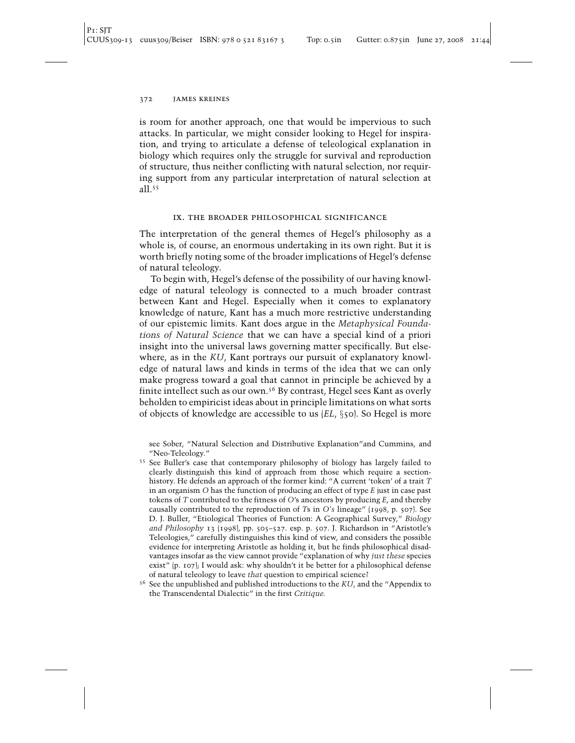is room for another approach, one that would be impervious to such attacks. In particular, we might consider looking to Hegel for inspiration, and trying to articulate a defense of teleological explanation in biology which requires only the struggle for survival and reproduction of structure, thus neither conflicting with natural selection, nor requiring support from any particular interpretation of natural selection at all.<sup>55</sup>

#### ix. the broader philosophical significance

The interpretation of the general themes of Hegel's philosophy as a whole is, of course, an enormous undertaking in its own right. But it is worth briefly noting some of the broader implications of Hegel's defense of natural teleology.

To begin with, Hegel's defense of the possibility of our having knowledge of natural teleology is connected to a much broader contrast between Kant and Hegel. Especially when it comes to explanatory knowledge of nature, Kant has a much more restrictive understanding of our epistemic limits. Kant does argue in the *Metaphysical Foundations of Natural Science* that we can have a special kind of a priori insight into the universal laws governing matter specifically. But elsewhere, as in the *KU*, Kant portrays our pursuit of explanatory knowledge of natural laws and kinds in terms of the idea that we can only make progress toward a goal that cannot in principle be achieved by a finite intellect such as our own.<sup>56</sup> By contrast, Hegel sees Kant as overly beholden to empiricist ideas about in principle limitations on what sorts of objects of knowledge are accessible to us (*EL*, §50). So Hegel is more

see Sober, "Natural Selection and Distributive Explanation"and Cummins, and "Neo-Teleology." <sup>55</sup> See Buller's case that contemporary philosophy of biology has largely failed to

- clearly distinguish this kind of approach from those which require a sectionhistory. He defends an approach of the former kind: "A current 'token' of a trait *T* in an organism *O* has the function of producing an effect of type *E* just in case past tokens of *T* contributed to the fitness of *O*'s ancestors by producing *E*, and thereby causally contributed to the reproduction of *T*s in *O's* lineage" (1998, p. 507). See D. J. Buller, "Etiological Theories of Function: A Geographical Survey," *Biology and Philosophy* 13 (1998), pp. 505–527. esp. p. 507. J. Richardson in "Aristotle's Teleologies," carefully distinguishes this kind of view, and considers the possible evidence for interpreting Aristotle as holding it, but he finds philosophical disadvantages insofar as the view cannot provide "explanation of why *just these* species exist" (p. 107); I would ask: why shouldn't it be better for a philosophical defense of natural teleology to leave *that* question to empirical science?
- <sup>56</sup> See the unpublished and published introductions to the *KU*, and the "Appendix to the Transcendental Dialectic" in the first *Critique.*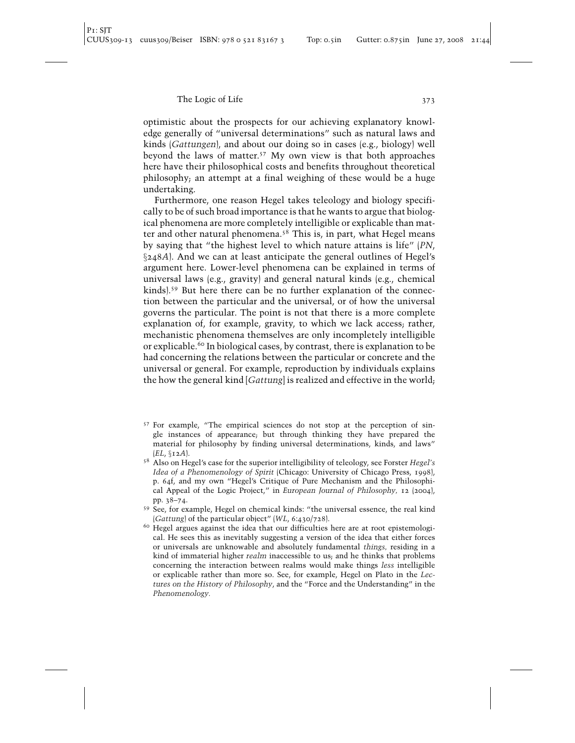optimistic about the prospects for our achieving explanatory knowledge generally of "universal determinations" such as natural laws and kinds (*Gattungen*), and about our doing so in cases (e.g., biology) well beyond the laws of matter.<sup>57</sup> My own view is that both approaches here have their philosophical costs and benefits throughout theoretical philosophy; an attempt at a final weighing of these would be a huge undertaking.

Furthermore, one reason Hegel takes teleology and biology specifically to be of such broad importance is that he wants to argue that biological phenomena are more completely intelligible or explicable than matter and other natural phenomena.<sup>58</sup> This is, in part, what Hegel means by saying that "the highest level to which nature attains is life" (*PN*, §248*A*). And we can at least anticipate the general outlines of Hegel's argument here. Lower-level phenomena can be explained in terms of universal laws (e.g., gravity) and general natural kinds (e.g., chemical kinds).<sup>59</sup> But here there can be no further explanation of the connection between the particular and the universal, or of how the universal governs the particular. The point is not that there is a more complete explanation of, for example, gravity, to which we lack access; rather, mechanistic phenomena themselves are only incompletely intelligible or explicable.<sup>60</sup> In biological cases, by contrast, there is explanation to be had concerning the relations between the particular or concrete and the universal or general. For example, reproduction by individuals explains the how the general kind [*Gattung*] is realized and effective in the world;

- <sup>57</sup> For example, "The empirical sciences do not stop at the perception of single instances of appearance; but through thinking they have prepared the material for philosophy by finding universal determinations, kinds, and laws" (*EL*, §12*A*).
- <sup>58</sup> Also on Hegel's case for the superior intelligibility of teleology, see Forster *Hegel's Idea of a Phenomenology of Spirit* (Chicago: University of Chicago Press, 1998), p. 64f, and my own "Hegel's Critique of Pure Mechanism and the Philosophical Appeal of the Logic Project," in *European Journal of Philosophy,* 12 (2004),
- pp. <sup>38</sup>–74. <sup>59</sup> See, for example, Hegel on chemical kinds: "the universal essence, the real kind (*Gattung*) of the particular object" (*WL*, 6:430/728).<br><sup>60</sup> Hegel argues against the idea that our difficulties here are at root epistemologi-
- cal. He sees this as inevitably suggesting a version of the idea that either forces or universals are unknowable and absolutely fundamental *things,* residing in a kind of immaterial higher *realm* inaccessible to us; and he thinks that problems concerning the interaction between realms would make things *less* intelligible or explicable rather than more so. See, for example, Hegel on Plato in the *Lectures on the History of Philosophy*, and the "Force and the Understanding" in the *Phenomenology.*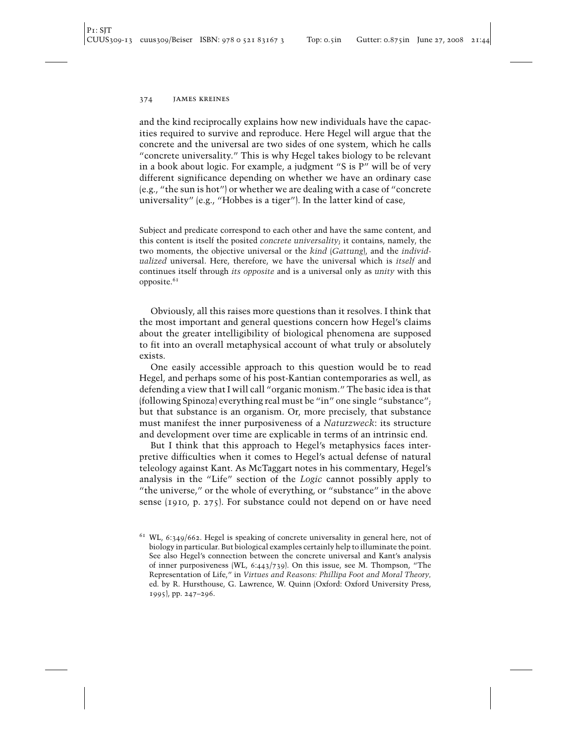and the kind reciprocally explains how new individuals have the capacities required to survive and reproduce. Here Hegel will argue that the concrete and the universal are two sides of one system, which he calls "concrete universality." This is why Hegel takes biology to be relevant in a book about logic. For example, a judgment "S is P" will be of very different significance depending on whether we have an ordinary case (e.g., "the sun is hot") or whether we are dealing with a case of "concrete universality" (e.g., "Hobbes is a tiger"). In the latter kind of case,

Subject and predicate correspond to each other and have the same content, and this content is itself the posited *concrete universality*; it contains, namely, the two moments, the objective universal or the *kind* (*Gattung*), and the *individualized* universal. Here, therefore, we have the universal which is *itself* and continues itself through *its opposite* and is a universal only as *unity* with this opposite.<sup>61</sup>

Obviously, all this raises more questions than it resolves. I think that the most important and general questions concern how Hegel's claims about the greater intelligibility of biological phenomena are supposed to fit into an overall metaphysical account of what truly or absolutely exists.

One easily accessible approach to this question would be to read Hegel, and perhaps some of his post-Kantian contemporaries as well, as defending a view that I will call "organic monism." The basic idea is that (following Spinoza) everything real must be "in" one single "substance"; but that substance is an organism. Or, more precisely, that substance must manifest the inner purposiveness of a *Naturzweck*: its structure and development over time are explicable in terms of an intrinsic end.

But I think that this approach to Hegel's metaphysics faces interpretive difficulties when it comes to Hegel's actual defense of natural teleology against Kant. As McTaggart notes in his commentary, Hegel's analysis in the "Life" section of the *Logic* cannot possibly apply to "the universe," or the whole of everything, or "substance" in the above sense (1910, p. 275). For substance could not depend on or have need

 $61$  WL,  $6:349/662$ . Hegel is speaking of concrete universality in general here, not of biology in particular. But biological examples certainly help to illuminate the point. See also Hegel's connection between the concrete universal and Kant's analysis of inner purposiveness (WL, 6:443/739). On this issue, see M. Thompson, "The Representation of Life," in *Virtues and Reasons: Phillipa Foot and Moral Theory,* ed. by R. Hursthouse, G. Lawrence, W. Quinn (Oxford: Oxford University Press, 1995), pp. 247–296.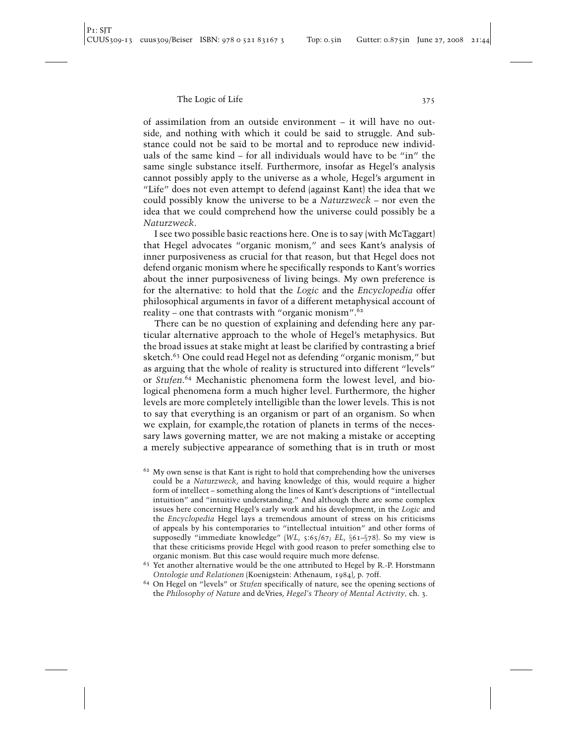of assimilation from an outside environment – it will have no outside, and nothing with which it could be said to struggle. And substance could not be said to be mortal and to reproduce new individuals of the same kind – for all individuals would have to be "in" the same single substance itself. Furthermore, insofar as Hegel's analysis cannot possibly apply to the universe as a whole, Hegel's argument in "Life" does not even attempt to defend (against Kant) the idea that we could possibly know the universe to be a *Naturzweck* – nor even the idea that we could comprehend how the universe could possibly be a *Naturzweck*.

I see two possible basic reactions here. One is to say (with McTaggart) that Hegel advocates "organic monism," and sees Kant's analysis of inner purposiveness as crucial for that reason, but that Hegel does not defend organic monism where he specifically responds to Kant's worries about the inner purposiveness of living beings. My own preference is for the alternative: to hold that the *Logic* and the *Encyclopedia* offer philosophical arguments in favor of a different metaphysical account of reality – one that contrasts with "organic monism".<sup>62</sup>

There can be no question of explaining and defending here any particular alternative approach to the whole of Hegel's metaphysics. But the broad issues at stake might at least be clarified by contrasting a brief sketch.<sup>63</sup> One could read Hegel not as defending "organic monism," but as arguing that the whole of reality is structured into different "levels" or *Stufen*. <sup>64</sup> Mechanistic phenomena form the lowest level, and biological phenomena form a much higher level. Furthermore, the higher levels are more completely intelligible than the lower levels. This is not to say that everything is an organism or part of an organism. So when we explain, for example,the rotation of planets in terms of the necessary laws governing matter, we are not making a mistake or accepting a merely subjective appearance of something that is in truth or most

- $62$  My own sense is that Kant is right to hold that comprehending how the universes could be a *Naturzweck*, and having knowledge of this, would require a higher form of intellect – something along the lines of Kant's descriptions of "intellectual intuition" and "intuitive understanding." And although there are some complex issues here concerning Hegel's early work and his development, in the *Logic* and the *Encyclopedia* Hegel lays a tremendous amount of stress on his criticisms of appeals by his contemporaries to "intellectual intuition" and other forms of supposedly "immediate knowledge" (*WL*, <sup>5</sup>:65/67; *EL*, §61–§78). So my view is that these criticisms provide Hegel with good reason to prefer something else to organic monism. But this case would require much more defense.
- <sup>63</sup> Yet another alternative would be the one attributed to Hegel by R.-P. Horstmann *Ontologie und Relationen* (Koenigstein: Athenaum, 1984), p. 70ff.
- <sup>64</sup> On Hegel on "levels" or *Stufen* specifically of nature, see the opening sections of the *Philosophy of Nature* and deVries, *Hegel's Theory of Mental Activity,* ch. 3.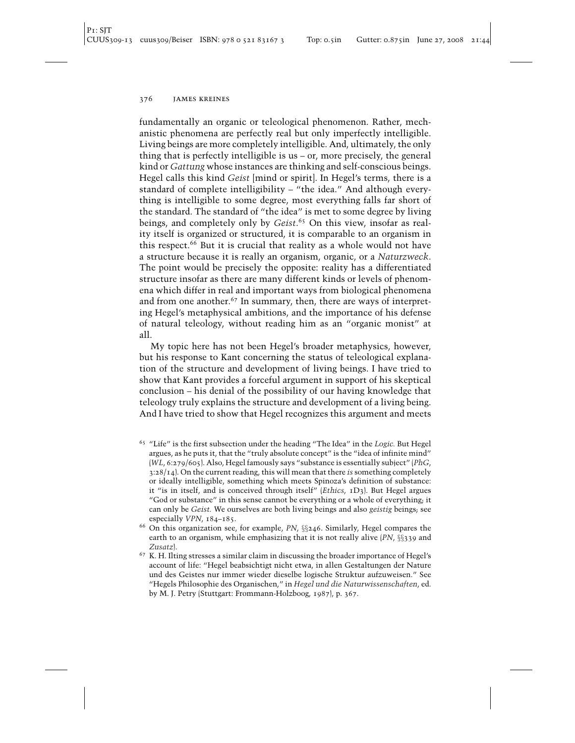fundamentally an organic or teleological phenomenon. Rather, mechanistic phenomena are perfectly real but only imperfectly intelligible. Living beings are more completely intelligible. And, ultimately, the only thing that is perfectly intelligible is us – or, more precisely, the general kind or *Gattung* whose instances are thinking and self-conscious beings. Hegel calls this kind *Geist* [mind or spirit]. In Hegel's terms, there is a standard of complete intelligibility – "the idea." And although everything is intelligible to some degree, most everything falls far short of the standard. The standard of "the idea" is met to some degree by living beings, and completely only by *Geist*. <sup>65</sup> On this view, insofar as reality itself is organized or structured, it is comparable to an organism in this respect.<sup>66</sup> But it is crucial that reality as a whole would not have a structure because it is really an organism, organic, or a *Naturzweck*. The point would be precisely the opposite: reality has a differentiated structure insofar as there are many different kinds or levels of phenomena which differ in real and important ways from biological phenomena and from one another. $67$  In summary, then, there are ways of interpreting Hegel's metaphysical ambitions, and the importance of his defense of natural teleology, without reading him as an "organic monist" at all.

My topic here has not been Hegel's broader metaphysics, however, but his response to Kant concerning the status of teleological explanation of the structure and development of living beings. I have tried to show that Kant provides a forceful argument in support of his skeptical conclusion – his denial of the possibility of our having knowledge that teleology truly explains the structure and development of a living being. And I have tried to show that Hegel recognizes this argument and meets

- <sup>65</sup> "Life" is the first subsection under the heading "The Idea" in the *Logic.* But Hegel argues, as he puts it, that the "truly absolute concept" is the "idea of infinite mind" (*WL*, 6:279/605). Also, Hegel famously says "substance is essentially subject" (*PhG*, 3:28/14). On the current reading, this will mean that there *is* something completely or ideally intelligible, something which meets Spinoza's definition of substance: it "is in itself, and is conceived through itself" (*Ethics*, 1D3). But Hegel argues "God or substance" in this sense cannot be everything or a whole of everything; it can only be *Geist.* We ourselves are both living beings and also *geistig* beings; see
- especially *VPN*, 184–185.<br><sup>66</sup> On this organization see, for example, *PN*, §§246. Similarly, Hegel compares the earth to an organism, while emphasizing that it is not really alive (*PN*, §§<sup>339</sup> and *Zusatz*).
- $^{67}$  K. H. Ilting stresses a similar claim in discussing the broader importance of Hegel's account of life: "Hegel beabsichtigt nicht etwa, in allen Gestaltungen der Nature und des Geistes nur immer wieder dieselbe logische Struktur aufzuweisen." See "Hegels Philosophie des Organischen," in *Hegel und die Naturwissenschaften*, ed. by M. J. Petry (Stuttgart: Frommann-Holzboog, 1987), p. 367.